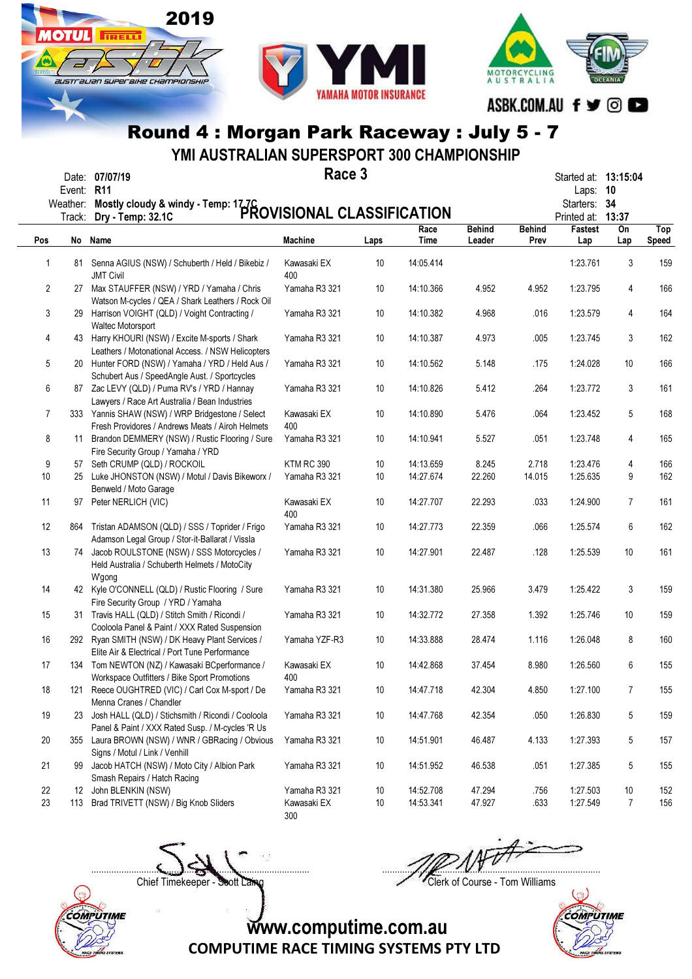



YMI AUSTRALIAN SUPERSPORT 300 CHAMPIONSHIP

|            | Date: 07/07/1 |
|------------|---------------|
| Event: R11 |               |

**OTIJL** 

**TIRELLI** 

australian superaike championskir

2019

Race 3  $\mathsf{Race\,3} \longrightarrow \mathsf{Race\,3}$ 

|        | Event: R11 | Weather: Mostly cloudy & windy - Temp: 17.7C<br>Trock: Dry Jemp: 32.1C PROVISIONAL CLASSIFICATION        |                    |      |              |                         |                       | Laps:<br>Starters: 34<br>Printed at: 13:37 | 10        |                     |
|--------|------------|----------------------------------------------------------------------------------------------------------|--------------------|------|--------------|-------------------------|-----------------------|--------------------------------------------|-----------|---------------------|
| Pos    |            | No Name                                                                                                  | <b>Machine</b>     | Laps | Race<br>Time | <b>Behind</b><br>Leader | <b>Behind</b><br>Prev | Fastest<br>Lap                             | On<br>Lap | Top<br><b>Speed</b> |
| 1      |            | 81 Senna AGIUS (NSW) / Schuberth / Held / Bikebiz /<br><b>JMT Civil</b>                                  | Kawasaki EX<br>400 | 10   | 14:05.414    |                         |                       | 1:23.761                                   | 3         | 159                 |
| 2      |            | 27 Max STAUFFER (NSW) / YRD / Yamaha / Chris<br>Watson M-cycles / QEA / Shark Leathers / Rock Oil        | Yamaha R3 321      | 10   | 14:10.366    | 4.952                   | 4.952                 | 1:23.795                                   | 4         | 166                 |
| 3      |            | 29 Harrison VOIGHT (QLD) / Voight Contracting /<br>Waltec Motorsport                                     | Yamaha R3 321      | 10   | 14:10.382    | 4.968                   | .016                  | 1:23.579                                   | 4         | 164                 |
| 4      |            | 43 Harry KHOURI (NSW) / Excite M-sports / Shark<br>Leathers / Motonational Access. / NSW Helicopters     | Yamaha R3 321      | 10   | 14:10.387    | 4.973                   | .005                  | 1:23.745                                   | 3         | 162                 |
| 5      |            | 20 Hunter FORD (NSW) / Yamaha / YRD / Held Aus /<br>Schubert Aus / SpeedAngle Aust. / Sportcycles        | Yamaha R3 321      | 10   | 14:10.562    | 5.148                   | .175                  | 1:24.028                                   | 10        | 166                 |
| 6      |            | 87 Zac LEVY (QLD) / Puma RV's / YRD / Hannay<br>Lawyers / Race Art Australia / Bean Industries           | Yamaha R3 321      | 10   | 14:10.826    | 5.412                   | .264                  | 1:23.772                                   | 3         | 161                 |
| 7      |            | 333 Yannis SHAW (NSW) / WRP Bridgestone / Select<br>Fresh Providores / Andrews Meats / Airoh Helmets     | Kawasaki EX<br>400 | 10   | 14:10.890    | 5.476                   | .064                  | 1:23.452                                   | 5         | 168                 |
| 8      | 11         | Brandon DEMMERY (NSW) / Rustic Flooring / Sure<br>Fire Security Group / Yamaha / YRD                     | Yamaha R3 321      | 10   | 14:10.941    | 5.527                   | .051                  | 1:23.748                                   | 4         | 165                 |
| 9      | 57         | Seth CRUMP (QLD) / ROCKOIL                                                                               | <b>KTM RC 390</b>  | 10   | 14:13.659    | 8.245                   | 2.718                 | 1:23.476                                   | 4         | 166                 |
| 10     | 25         | Luke JHONSTON (NSW) / Motul / Davis Bikeworx /<br>Benweld / Moto Garage                                  | Yamaha R3 321      | 10   | 14:27.674    | 22.260                  | 14.015                | 1:25.635                                   | 9         | 162                 |
| 11     | 97         | Peter NERLICH (VIC)                                                                                      | Kawasaki EX<br>400 | 10   | 14:27.707    | 22.293                  | .033                  | 1:24.900                                   | 7         | 161                 |
| 12     |            | 864 Tristan ADAMSON (QLD) / SSS / Toprider / Frigo<br>Adamson Legal Group / Stor-it-Ballarat / Vissla    | Yamaha R3 321      | 10   | 14:27.773    | 22.359                  | .066                  | 1:25.574                                   | 6         | 162                 |
| 13     |            | 74 Jacob ROULSTONE (NSW) / SSS Motorcycles /<br>Held Australia / Schuberth Helmets / MotoCity<br>W'gong  | Yamaha R3 321      | 10   | 14:27.901    | 22.487                  | .128                  | 1:25.539                                   | 10        | 161                 |
| 14     |            | 42 Kyle O'CONNELL (QLD) / Rustic Flooring / Sure<br>Fire Security Group / YRD / Yamaha                   | Yamaha R3 321      | 10   | 14:31.380    | 25.966                  | 3.479                 | 1:25.422                                   | 3         | 159                 |
| 15     |            | 31 Travis HALL (QLD) / Stitch Smith / Ricondi /<br>Cooloola Panel & Paint / XXX Rated Suspension         | Yamaha R3 321      | 10   | 14:32.772    | 27.358                  | 1.392                 | 1:25.746                                   | 10        | 159                 |
| 16     |            | 292 Ryan SMITH (NSW) / DK Heavy Plant Services /<br>Elite Air & Electrical / Port Tune Performance       | Yamaha YZF-R3      | 10   | 14:33.888    | 28.474                  | 1.116                 | 1:26.048                                   | 8         | 160                 |
| 17     |            | 134 Tom NEWTON (NZ) / Kawasaki BCperformance /<br>Workspace Outfitters / Bike Sport Promotions           | Kawasaki EX<br>400 | 10   | 14:42.868    | 37.454                  | 8.980                 | 1:26.560                                   | 6         | 155                 |
| 18     | 121        | Reece OUGHTRED (VIC) / Carl Cox M-sport / De<br>Menna Cranes / Chandler                                  | Yamaha R3 321      | 10   | 14:47.718    | 42.304                  | 4.850                 | 1:27.100                                   | 7         | 155                 |
| 19     |            | 23 Josh HALL (QLD) / Stichsmith / Ricondi / Cooloola<br>Panel & Paint / XXX Rated Susp. / M-cycles 'R Us | Yamaha R3 321      | 10   | 14:47.768    | 42.354                  | .050                  | 1:26.830                                   | 5         | 159                 |
| $20\,$ | 355        | Laura BROWN (NSW) / WNR / GBRacing / Obvious<br>Signs / Motul / Link / Venhill                           | Yamaha R3 321      | 10   | 14:51.901    | 46.487                  | 4.133                 | 1:27.393                                   | 5         | 157                 |
| 21     | 99         | Jacob HATCH (NSW) / Moto City / Albion Park<br>Smash Repairs / Hatch Racing                              | Yamaha R3 321      | 10   | 14:51.952    | 46.538                  | .051                  | 1:27.385                                   | 5         | 155                 |
| 22     |            | 12 John BLENKIN (NSW)                                                                                    | Yamaha R3 321      | 10   | 14:52.708    | 47.294                  | .756                  | 1:27.503                                   | 10        | 152                 |
| 23     | 113        | Brad TRIVETT (NSW) / Big Knob Sliders                                                                    | Kawasaki EX<br>300 | 10   | 14:53.341    | 47.927                  | .633                  | 1:27.549                                   | 7         | 156                 |

Chief Timekeeper - Soott Laing Chief Timekeeper - Soott Laing

COMPUTIME

 $\Box$ 

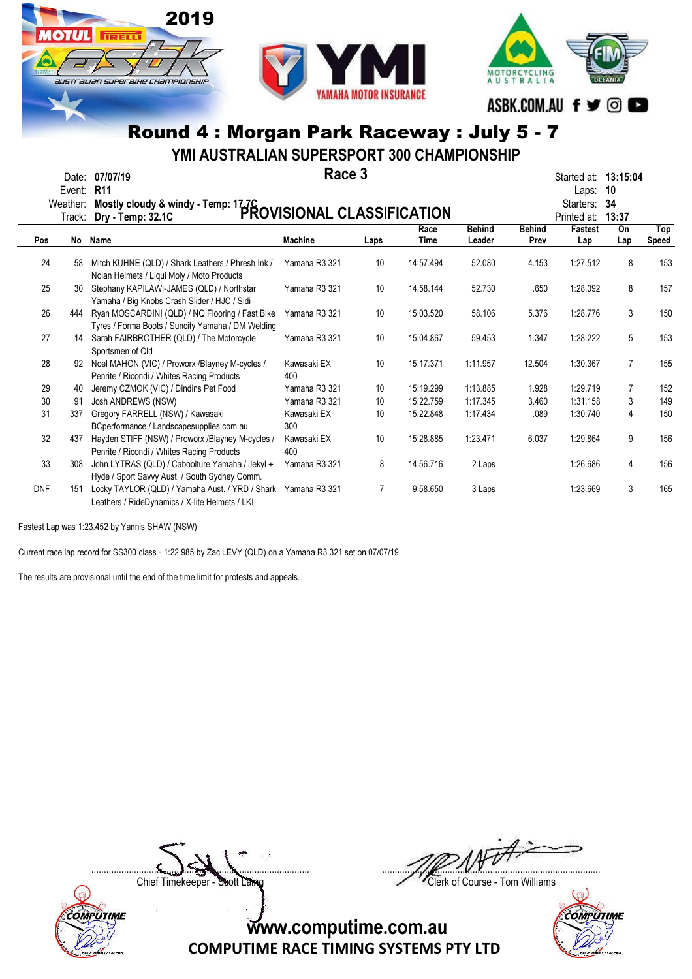

YMI AUSTRALIAN SUPERSPORT 300 CHAMPIONSHIP

|            | Event:             | Date: 07/07/19<br><b>R11</b>                                                                         | Race 3             |                 |              |                         |                       | Started at:<br>Laps:     | 13:15:04<br>10 |                     |
|------------|--------------------|------------------------------------------------------------------------------------------------------|--------------------|-----------------|--------------|-------------------------|-----------------------|--------------------------|----------------|---------------------|
|            | Weather:<br>Track: | Mostly cloudy & windy - Temp: 17.7C<br>PROVISIONAL CLASSIFICATION                                    |                    |                 |              |                         |                       | Starters:<br>Printed at: | -34<br>13:37   |                     |
| Pos        | No                 | Name                                                                                                 | <b>Machine</b>     | Laps            | Race<br>Time | <b>Behind</b><br>Leader | <b>Behind</b><br>Prev | <b>Fastest</b><br>Lap    | On<br>Lap      | Top<br><b>Speed</b> |
| 24         | 58                 | Mitch KUHNE (QLD) / Shark Leathers / Phresh Ink /<br>Nolan Helmets / Liqui Moly / Moto Products      | Yamaha R3 321      | 10 <sup>°</sup> | 14:57.494    | 52.080                  | 4.153                 | 1:27.512                 | 8              | 153                 |
| 25         | 30                 | Stephany KAPILAWI-JAMES (QLD) / Northstar<br>Yamaha / Big Knobs Crash Slider / HJC / Sidi            | Yamaha R3 321      | 10 <sup>°</sup> | 14:58.144    | 52.730                  | .650                  | 1:28.092                 | 8              | 157                 |
| 26         | 444                | Ryan MOSCARDINI (QLD) / NQ Flooring / Fast Bike<br>Tyres / Forma Boots / Suncity Yamaha / DM Welding | Yamaha R3 321      | 10 <sup>°</sup> | 15:03.520    | 58.106                  | 5.376                 | 1:28.776                 | 3              | 150                 |
| 27         | 14                 | Sarah FAIRBROTHER (QLD) / The Motorcycle<br>Sportsmen of Qld                                         | Yamaha R3 321      | 10 <sup>°</sup> | 15:04.867    | 59.453                  | 1.347                 | 1:28.222                 | 5              | 153                 |
| 28         | 92                 | Noel MAHON (VIC) / Proworx /Blayney M-cycles /<br>Penrite / Ricondi / Whites Racing Products         | Kawasaki EX<br>400 | 10 <sup>°</sup> | 15:17.371    | 1:11.957                | 12.504                | 1:30.367                 | $\overline{7}$ | 155                 |
| 29         | 40                 | Jeremy CZMOK (VIC) / Dindins Pet Food                                                                | Yamaha R3 321      | 10 <sup>°</sup> | 15:19.299    | 1:13.885                | 1.928                 | 1:29.719                 | 7              | 152                 |
| 30         | 91                 | Josh ANDREWS (NSW)                                                                                   | Yamaha R3 321      | 10              | 15:22.759    | 1:17.345                | 3.460                 | 1:31.158                 | 3              | 149                 |
| 31         | 337                | Gregory FARRELL (NSW) / Kawasaki<br>BCperformance / Landscapesupplies.com.au                         | Kawasaki EX<br>300 | 10              | 15:22.848    | 1:17.434                | .089                  | 1:30.740                 | 4              | 150                 |
| 32         | 437                | Hayden STIFF (NSW) / Proworx /Blayney M-cycles /<br>Penrite / Ricondi / Whites Racing Products       | Kawasaki EX<br>400 | 10              | 15:28.885    | 1:23.471                | 6.037                 | 1:29.864                 | 9              | 156                 |
| 33         | 308                | John LYTRAS (QLD) / Caboolture Yamaha / Jekyl +<br>Hyde / Sport Savvy Aust. / South Sydney Comm.     | Yamaha R3 321      | 8               | 14:56.716    | 2 Laps                  |                       | 1:26.686                 | 4              | 156                 |
| <b>DNF</b> | 151                | Locky TAYLOR (QLD) / Yamaha Aust. / YRD / Shark<br>Leathers / RideDynamics / X-lite Helmets / LKI    | Yamaha R3 321      | $\overline{7}$  | 9:58.650     | 3 Laps                  |                       | 1:23.669                 | 3              | 165                 |

Fastest Lap was 1:23.452 by Yannis SHAW (NSW)

COMPUTIME

Current race lap record for SS300 class - 1:22.985 by Zac LEVY (QLD) on a Yamaha R3 321 set on 07/07/19

The results are provisional until the end of the time limit for protests and appeals.

 $\Box$ 

Chief Timekeeper - Soott Laing Chief Timekeeper - Soott Laing

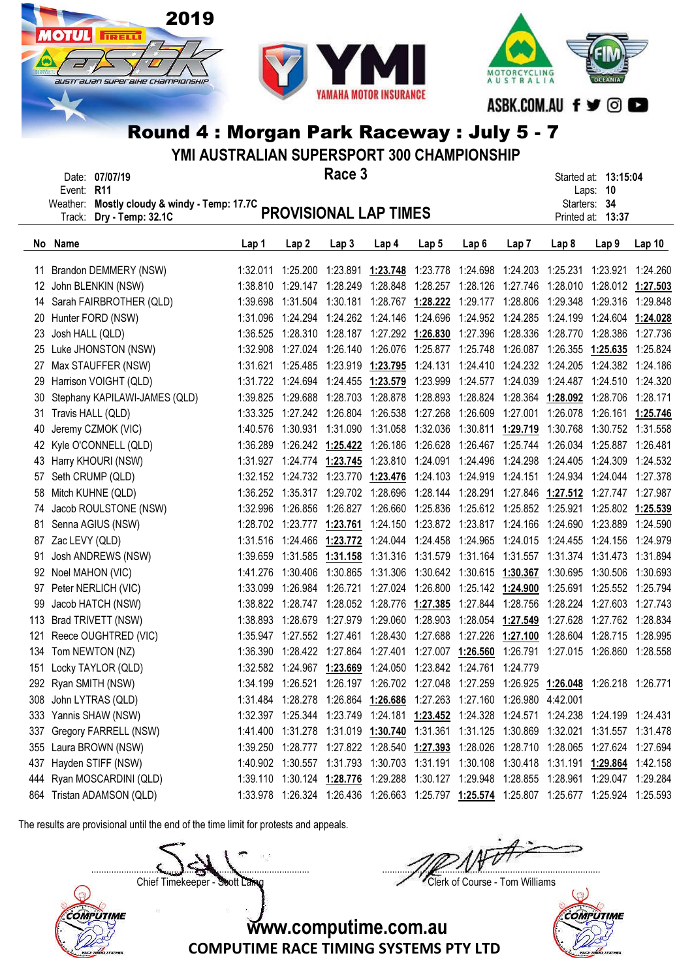





YMI AUSTRALIAN SUPERSPORT 300 CHAMPIONSHIP

| Race 3<br>Date: 07/07/19<br>Event: R11 |                 |                                              |          |                            |                                     |                                                                                |                   |                                                  |                                     |       | Started at: 13:15:04<br>Laps: 10                                                                   |                   |
|----------------------------------------|-----------------|----------------------------------------------|----------|----------------------------|-------------------------------------|--------------------------------------------------------------------------------|-------------------|--------------------------------------------------|-------------------------------------|-------|----------------------------------------------------------------------------------------------------|-------------------|
|                                        |                 | Weather: Mostly cloudy & windy - Temp: 17.7C |          |                            |                                     | PROVISIONAL LAP TIMES                                                          |                   |                                                  |                                     |       | Starters: 34                                                                                       |                   |
|                                        | Track:          | Dry - Temp: 32.1C                            |          |                            |                                     |                                                                                |                   |                                                  |                                     |       | Printed at: 13:37                                                                                  |                   |
|                                        | No Name         |                                              | Lap 1    | Lap <sub>2</sub>           | Lap <sub>3</sub>                    | Lap 4                                                                          | Lap <sub>5</sub>  | Lap <sub>6</sub>                                 | Lap 7                               | Lap 8 | Lap <sub>9</sub>                                                                                   | Lap <sub>10</sub> |
|                                        |                 |                                              |          |                            |                                     |                                                                                |                   |                                                  |                                     |       | 1:32.011 1:25.200 1:23.891 1:23.748 1:23.778 1:24.698 1:24.203 1:25.231 1:23.921 1:24.260          |                   |
| 11<br>12                               |                 | Brandon DEMMERY (NSW)<br>John BLENKIN (NSW)  |          |                            | 1:38.810 1:29.147 1:28.249 1:28.848 |                                                                                |                   |                                                  |                                     |       | 1:28.257 1:28.126 1:27.746 1:28.010 1:28.012 1:27.503                                              |                   |
|                                        |                 | 14 Sarah FAIRBROTHER (QLD)                   | 1:39.698 |                            | 1:31.504 1:30.181                   |                                                                                | 1:28.767 1:28.222 | 1:29.177 1:28.806 1:29.348                       |                                     |       | 1:29.316                                                                                           | 1:29.848          |
| 20                                     |                 | Hunter FORD (NSW)                            | 1:31.096 |                            | 1:24.294 1:24.262                   | 1:24.146                                                                       | 1:24.696          |                                                  | 1:24.952 1:24.285 1:24.199          |       | 1:24.604                                                                                           | 1:24.028          |
| 23                                     | Josh HALL (QLD) |                                              | 1:36.525 |                            |                                     | 1:28.310  1:28.187  1:27.292  1:26.830                                         |                   |                                                  | 1:27.396 1:28.336 1:28.770          |       | 1:28.386                                                                                           | 1:27.736          |
| 25                                     |                 | Luke JHONSTON (NSW)                          | 1:32.908 |                            | 1:27.024 1:26.140                   | 1:26.076                                                                       | 1:25.877          |                                                  | 1:25.748 1:26.087 1:26.355 1:25.635 |       |                                                                                                    | 1:25.824          |
| 27                                     |                 | Max STAUFFER (NSW)                           | 1:31.621 |                            | 1:25.485  1:23.919  1:23.795        |                                                                                |                   |                                                  |                                     |       | 1:24.131  1:24.410  1:24.232  1:24.205  1:24.382  1:24.186                                         |                   |
| 29                                     |                 | Harrison VOIGHT (QLD)                        |          |                            | 1:31.722 1:24.694 1:24.455 1:23.579 |                                                                                |                   |                                                  |                                     |       | 1:23.999  1:24.577  1:24.039  1:24.487  1:24.510  1:24.320                                         |                   |
| 30                                     |                 | Stephany KAPILAWI-JAMES (QLD)                | 1:39.825 |                            | 1:29.688 1:28.703 1:28.878          |                                                                                | 1:28.893          |                                                  | 1:28.824  1:28.364  1:28.092        |       | 1:28.706                                                                                           | 1:28.171          |
| 31.                                    |                 | Travis HALL (QLD)                            | 1:33.325 |                            | 1:27.242 1:26.804                   | 1:26.538                                                                       | 1:27.268          |                                                  | 1:26.609  1:27.001  1:26.078        |       | 1:26.161                                                                                           | 1:25.746          |
| 40                                     |                 | Jeremy CZMOK (VIC)                           | 1:40.576 |                            | 1:30.931 1:31.090                   | 1:31.058                                                                       | 1:32.036          |                                                  | 1:30.811 1:29.719 1:30.768          |       | 1:30.752 1:31.558                                                                                  |                   |
|                                        |                 | 42 Kyle O'CONNELL (QLD)                      | 1:36.289 |                            |                                     | 1:26.242 1:25.422 1:26.186 1:26.628                                            |                   |                                                  | 1:26.467 1:25.744 1:26.034          |       | 1:25.887 1:26.481                                                                                  |                   |
| 43                                     |                 | Harry KHOURI (NSW)                           | 1:31.927 |                            | 1:24.774 1:23.745                   |                                                                                |                   | 1:23.810 1:24.091 1:24.496 1:24.298 1:24.405     |                                     |       | 1:24.309                                                                                           | 1:24.532          |
| 57                                     |                 | Seth CRUMP (QLD)                             |          |                            | 1:32.152 1:24.732 1:23.770 1:23.476 |                                                                                |                   | 1:24.103 1:24.919 1:24.151 1:24.934              |                                     |       | 1:24.044                                                                                           | 1:27.378          |
| 58                                     |                 | Mitch KUHNE (QLD)                            |          |                            |                                     |                                                                                |                   |                                                  |                                     |       | 1:36.252 1:35.317 1:29.702 1:28.696 1:28.144 1:28.291 1:27.846 1:27.512 1:27.747 1:27.987          |                   |
| 74                                     |                 | Jacob ROULSTONE (NSW)                        | 1:32.996 |                            | 1:26.856  1:26.827  1:26.660        |                                                                                |                   | 1:25.836  1:25.612  1:25.852  1:25.921           |                                     |       | 1:25.802 1:25.539                                                                                  |                   |
| 81                                     |                 | Senna AGIUS (NSW)                            | 1:28.702 | 1:23.777                   | 1:23.761                            |                                                                                |                   | 1:24.150 1:23.872 1:23.817 1:24.166 1:24.690     |                                     |       | 1:23.889                                                                                           | 1:24.590          |
| 87                                     | Zac LEVY (QLD)  |                                              | 1:31.516 | 1:24.466                   | 1:23.772                            |                                                                                |                   | 1:24.044 1:24.458 1:24.965 1:24.015 1:24.455     |                                     |       | 1:24.156                                                                                           | 1:24.979          |
| 91                                     |                 | Josh ANDREWS (NSW)                           | 1:39.659 |                            | 1:31.585 1:31.158                   |                                                                                |                   | 1:31.316  1:31.579  1:31.164  1:31.557  1:31.374 |                                     |       | 1:31.473                                                                                           | 1:31.894          |
| 92                                     |                 | Noel MAHON (VIC)                             | 1:41.276 |                            | 1:30.406 1:30.865                   | 1:31.306                                                                       |                   | 1:30.642 1:30.615 1:30.367 1:30.695 1:30.506     |                                     |       |                                                                                                    | 1:30.693          |
| 97                                     |                 | Peter NERLICH (VIC)                          | 1:33.099 |                            | 1:26.984 1:26.721                   |                                                                                |                   | 1:27.024 1:26.800 1:25.142 1:24.900 1:25.691     |                                     |       | 1:25.552 1:25.794                                                                                  |                   |
| 99                                     |                 | Jacob HATCH (NSW)                            |          |                            |                                     | 1:38.822 1:28.747 1:28.052 1:28.776 1:27.385                                   |                   |                                                  | 1:27.844 1:28.756 1:28.224          |       |                                                                                                    |                   |
| 113                                    |                 | Brad TRIVETT (NSW)                           |          | 1:38.893 1:28.679 1:27.979 |                                     | 1:29.060                                                                       | 1:28.903          |                                                  |                                     |       | 1:28.054 1:27.549 1:27.628 1:27.762 1:28.834                                                       |                   |
| 121                                    |                 | Reece OUGHTRED (VIC)                         | 1:35.947 | 1:27.552 1:27.461          |                                     | 1:28.430                                                                       | 1:27.688          |                                                  | 1:27.226 1:27.100 1:28.604          |       | 1:28.715 1:28.995                                                                                  |                   |
|                                        |                 | 134 Tom NEWTON (NZ)                          | 1:36.390 |                            | 1:28.422 1:27.864                   | 1:27.401                                                                       | 1:27.007          |                                                  |                                     |       | 1:26.560 1:26.791 1:27.015 1:26.860 1:28.558                                                       |                   |
|                                        |                 | 151 Locky TAYLOR (QLD)                       |          |                            |                                     | 1:32.582 1:24.967 1:23.669 1:24.050 1:23.842 1:24.761 1:24.779                 |                   |                                                  |                                     |       |                                                                                                    |                   |
|                                        |                 | 292 Ryan SMITH (NSW)                         |          |                            |                                     |                                                                                |                   |                                                  |                                     |       | 1:34.199 1:26.521 1:26.197 1:26.702 1:27.048 1:27.259 1:26.925 1:26.048 1:26.218 1:26.771          |                   |
|                                        |                 | 308 John LYTRAS (QLD)                        |          |                            |                                     | 1:31.484  1:28.278  1:26.864  1:26.686  1:27.263  1:27.160  1:26.980  4:42.001 |                   |                                                  |                                     |       |                                                                                                    |                   |
|                                        |                 | 333 Yannis SHAW (NSW)                        |          |                            |                                     |                                                                                |                   |                                                  |                                     |       | 1:32.397 1:25.344 1:23.749 1:24.181 1:23.452 1:24.328 1:24.571 1:24.238 1:24.199 1:24.431          |                   |
|                                        |                 | 337 Gregory FARRELL (NSW)                    |          |                            |                                     |                                                                                |                   |                                                  |                                     |       | 1:41.400  1:31.278  1:31.019  1:30.740  1:31.361  1:31.125  1:30.869  1:32.021  1:31.557  1:31.478 |                   |
|                                        |                 | 355 Laura BROWN (NSW)                        |          |                            |                                     |                                                                                |                   |                                                  |                                     |       | 1:39.250 1:28.777 1:27.822 1:28.540 1:27.393 1:28.026 1:28.710 1:28.065 1:27.624 1:27.694          |                   |
|                                        |                 | 437 Hayden STIFF (NSW)                       |          |                            |                                     |                                                                                |                   |                                                  |                                     |       | 1:40.902 1:30.557 1:31.793 1:30.703 1:31.191 1:30.108 1:30.418 1:31.191 1:29.864 1:42.158          |                   |
|                                        |                 | 444 Ryan MOSCARDINI (QLD)                    |          |                            |                                     |                                                                                |                   |                                                  |                                     |       | 1:39.110 1:30.124 1:28.776 1:29.288 1:30.127 1:29.948 1:28.855 1:28.961 1:29.047 1:29.284          |                   |
|                                        |                 | 864 Tristan ADAMSON (QLD)                    |          |                            |                                     |                                                                                |                   |                                                  |                                     |       | 1:33.978 1:26.324 1:26.436 1:26.663 1:25.797 1:25.574 1:25.807 1:25.677 1:25.924 1:25.593          |                   |

The results are provisional until the end of the time limit for protests and appeals.

Chief Timekeeper - Soott Laing Chief Timekeeper - Soott Laing

COMPUTIME

 $\Box$ 



www.computime.com.au

COMPUTIME RACE TIMING SYSTEMS PTY LTD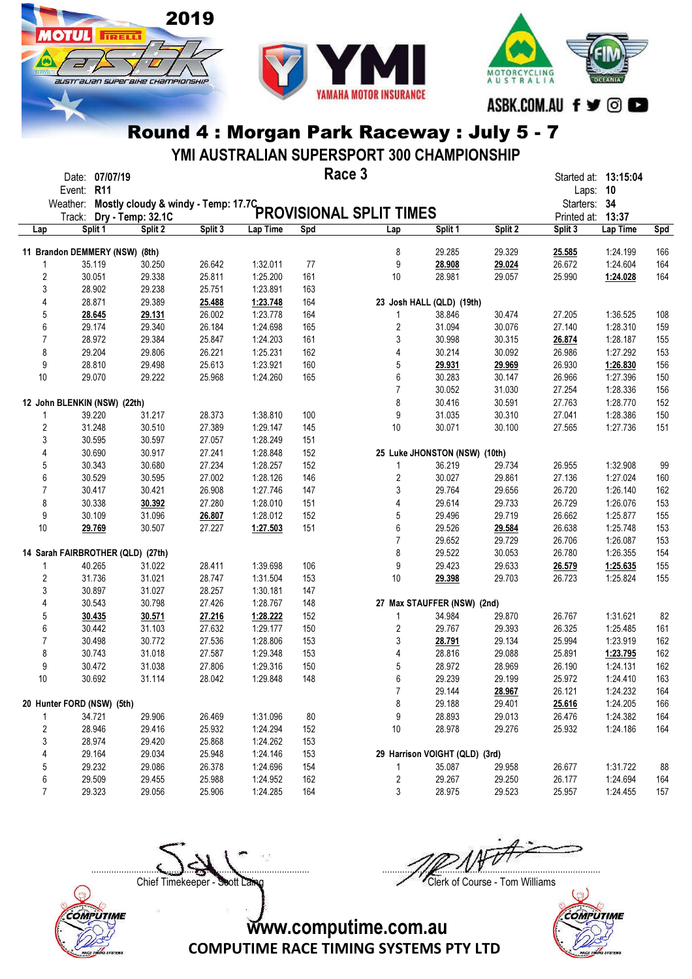

**ОТШ** 

**TIRELLI** 

australian superaike championskir



### Round 4 : Morgan Park Raceway : July 5 - 7

YMI AUSTRALIAN SUPERSPORT 300 CHAMPIONSHIP

|                         | Date: 07/07/19<br>Event: R11                 |         |         |          | Race 3 |                                |                                |         | Started at: 13:15:04<br>Laps: 10 |          |     |
|-------------------------|----------------------------------------------|---------|---------|----------|--------|--------------------------------|--------------------------------|---------|----------------------------------|----------|-----|
|                         | Weather: Mostly cloudy & windy - Temp: 17.7C |         |         |          |        |                                |                                |         | Starters: 34                     |          |     |
|                         | Track: Dry - Temp: 32.1C                     |         |         |          |        | <b>PROVISIONAL SPLIT TIMES</b> |                                |         | Printed at: 13:37                |          |     |
| Lap                     | Split 1                                      | Split 2 | Split 3 | Lap Time | Spd    | Lap                            | Split 1                        | Split 2 | Split 3                          | Lap Time | Spd |
|                         |                                              |         |         |          |        |                                |                                |         |                                  |          |     |
|                         | 11 Brandon DEMMERY (NSW) (8th)               |         |         |          |        | 8                              | 29.285                         | 29.329  | 25.585                           | 1:24.199 | 166 |
| 1                       | 35.119                                       | 30.250  | 26.642  | 1:32.011 | 77     | 9                              | 28.908                         | 29.024  | 26.672                           | 1:24.604 | 164 |
| 2                       | 30.051                                       | 29.338  | 25.811  | 1:25.200 | 161    | 10                             | 28.981                         | 29.057  | 25.990                           | 1:24.028 | 164 |
| 3                       | 28.902                                       | 29.238  | 25.751  | 1:23.891 | 163    |                                |                                |         |                                  |          |     |
| 4                       | 28.871                                       | 29.389  | 25.488  | 1:23.748 | 164    |                                | 23 Josh HALL (QLD) (19th)      |         |                                  |          |     |
| 5                       | 28.645                                       | 29.131  | 26.002  | 1:23.778 | 164    | 1                              | 38.846                         | 30.474  | 27.205                           | 1:36.525 | 108 |
| 6                       | 29.174                                       | 29.340  | 26.184  | 1:24.698 | 165    | $\overline{c}$                 | 31.094                         | 30.076  | 27.140                           | 1:28.310 | 159 |
| 7                       | 28.972                                       | 29.384  | 25.847  | 1:24.203 | 161    | 3                              | 30.998                         | 30.315  | 26.874                           | 1:28.187 | 155 |
| 8                       | 29.204                                       | 29.806  | 26.221  | 1:25.231 | 162    | 4                              | 30.214                         | 30.092  | 26.986                           | 1:27.292 | 153 |
| 9                       | 28.810                                       | 29.498  | 25.613  | 1:23.921 | 160    | 5                              | 29.931                         | 29.969  | 26.930                           | 1:26.830 | 156 |
| 10                      | 29.070                                       | 29.222  | 25.968  | 1:24.260 | 165    | 6                              | 30.283                         | 30.147  | 26.966                           | 1:27.396 | 150 |
|                         |                                              |         |         |          |        | $\overline{7}$                 | 30.052                         | 31.030  | 27.254                           | 1:28.336 | 156 |
|                         | 12 John BLENKIN (NSW) (22th)                 |         |         |          |        | 8                              | 30.416                         | 30.591  | 27.763                           | 1:28.770 | 152 |
| 1                       | 39.220                                       | 31.217  | 28.373  | 1:38.810 | 100    | 9                              | 31.035                         | 30.310  | 27.041                           | 1:28.386 | 150 |
| $\overline{\mathbf{c}}$ | 31.248                                       | 30.510  | 27.389  | 1:29.147 | 145    | 10                             | 30.071                         | 30.100  | 27.565                           | 1:27.736 | 151 |
| 3                       | 30.595                                       | 30.597  | 27.057  | 1:28.249 | 151    |                                |                                |         |                                  |          |     |
| 4                       | 30.690                                       | 30.917  | 27.241  | 1:28.848 | 152    |                                | 25 Luke JHONSTON (NSW) (10th)  |         |                                  |          |     |
| 5                       | 30.343                                       | 30.680  | 27.234  | 1:28.257 | 152    | 1                              | 36.219                         | 29.734  | 26.955                           | 1:32.908 | 99  |
| 6                       | 30.529                                       | 30.595  | 27.002  | 1:28.126 | 146    | $\overline{c}$                 | 30.027                         | 29.861  | 27.136                           | 1:27.024 | 160 |
| $\overline{7}$          | 30.417                                       | 30.421  | 26.908  | 1:27.746 | 147    | 3                              | 29.764                         | 29.656  | 26.720                           | 1:26.140 | 162 |
| 8                       | 30.338                                       | 30.392  | 27.280  | 1:28.010 | 151    | 4                              | 29.614                         | 29.733  | 26.729                           | 1:26.076 | 153 |
| 9                       | 30.109                                       | 31.096  | 26.807  | 1:28.012 | 152    | 5                              | 29.496                         | 29.719  | 26.662                           | 1:25.877 | 155 |
| 10                      | 29.769                                       | 30.507  | 27.227  | 1:27.503 | 151    | 6                              | 29.526                         | 29.584  | 26.638                           | 1:25.748 | 153 |
|                         |                                              |         |         |          |        | $\overline{7}$                 | 29.652                         | 29.729  | 26.706                           | 1:26.087 | 153 |
|                         | 14 Sarah FAIRBROTHER (QLD) (27th)            |         |         |          |        | 8                              | 29.522                         | 30.053  | 26.780                           | 1:26.355 | 154 |
| 1                       | 40.265                                       | 31.022  | 28.411  | 1:39.698 | 106    | 9                              | 29.423                         | 29.633  | 26.579                           | 1:25.635 | 155 |
| $\overline{\mathbf{c}}$ | 31.736                                       | 31.021  | 28.747  | 1:31.504 | 153    | 10                             | 29.398                         | 29.703  | 26.723                           | 1:25.824 | 155 |
| 3                       | 30.897                                       | 31.027  | 28.257  | 1:30.181 | 147    |                                |                                |         |                                  |          |     |
| 4                       | 30.543                                       | 30.798  | 27.426  | 1:28.767 | 148    |                                | 27 Max STAUFFER (NSW) (2nd)    |         |                                  |          |     |
| 5                       | 30.435                                       | 30.571  | 27.216  | 1:28.222 | 152    | 1                              | 34.984                         | 29.870  | 26.767                           | 1:31.621 | 82  |
| 6                       | 30.442                                       | 31.103  | 27.632  | 1:29.177 | 150    | 2                              | 29.767                         | 29.393  | 26.325                           | 1:25.485 | 161 |
| 7                       | 30.498                                       | 30.772  | 27.536  | 1:28.806 | 153    | 3                              | 28.791                         | 29.134  | 25.994                           | 1:23.919 | 162 |
| 8                       | 30.743                                       | 31.018  | 27.587  | 1:29.348 | 153    | 4                              | 28.816                         | 29.088  | 25.891                           | 1:23.795 | 162 |
| 9                       | 30.472                                       | 31.038  | 27.806  | 1:29.316 | 150    | 5                              | 28.972                         | 28.969  | 26.190                           | 1:24.131 | 162 |
| 10                      | 30.692                                       | 31.114  | 28.042  | 1:29.848 | 148    | 6                              | 29.239                         | 29.199  | 25.972                           | 1:24.410 | 163 |
|                         |                                              |         |         |          |        |                                |                                |         |                                  |          |     |
|                         |                                              |         |         |          |        | 7                              | 29.144                         | 28.967  | 26.121                           | 1:24.232 | 164 |
|                         | 20 Hunter FORD (NSW) (5th)                   |         |         |          |        | 8                              | 29.188                         | 29.401  | 25.616                           | 1:24.205 | 166 |
| 1                       | 34.721                                       | 29.906  | 26.469  | 1:31.096 | 80     | 9                              | 28.893                         | 29.013  | 26.476                           | 1:24.382 | 164 |
| $\boldsymbol{2}$        | 28.946                                       | 29.416  | 25.932  | 1:24.294 | 152    | 10                             | 28.978                         | 29.276  | 25.932                           | 1:24.186 | 164 |
| 3                       | 28.974                                       | 29.420  | 25.868  | 1:24.262 | 153    |                                |                                |         |                                  |          |     |
| 4                       | 29.164                                       | 29.034  | 25.948  | 1:24.146 | 153    |                                | 29 Harrison VOIGHT (QLD) (3rd) |         |                                  |          |     |
| 5                       | 29.232                                       | 29.086  | 26.378  | 1:24.696 | 154    | 1                              | 35.087                         | 29.958  | 26.677                           | 1:31.722 | 88  |
| 6                       | 29.509                                       | 29.455  | 25.988  | 1:24.952 | 162    | $\overline{\mathbf{c}}$        | 29.267                         | 29.250  | 26.177                           | 1:24.694 | 164 |
| $\overline{7}$          | 29.323                                       | 29.056  | 25.906  | 1:24.285 | 164    | 3                              | 28.975                         | 29.523  | 25.957                           | 1:24.455 | 157 |



 $\Box$ 



COMPUTIME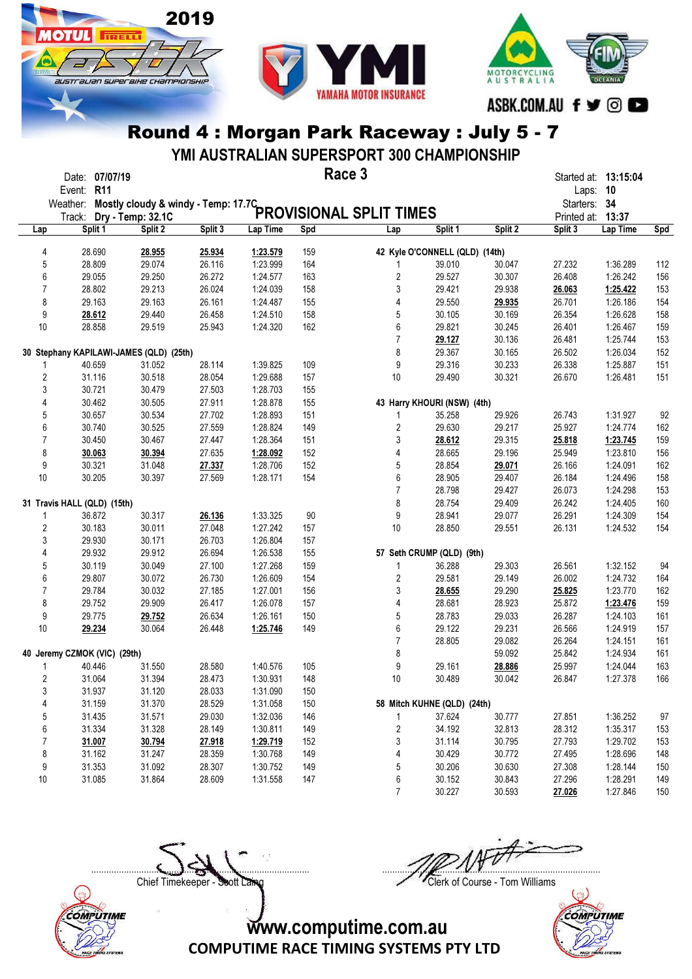

**OTHE** 

**TRELL** 

australian superaike championskir



### Round 4 : Morgan Park Raceway : July 5 - 7

YMI AUSTRALIAN SUPERSPORT 300 CHAMPIONSHIP

|                | Date: 07/07/19<br>Event: R11                 |                   |         |          | Race 3 |                                |                                |         | Laps: 10          | Started at: 13:15:04 |     |
|----------------|----------------------------------------------|-------------------|---------|----------|--------|--------------------------------|--------------------------------|---------|-------------------|----------------------|-----|
|                | Weather: Mostly cloudy & windy - Temp: 17.7C |                   |         |          |        |                                |                                |         | Starters: 34      |                      |     |
|                | Track:                                       | Dry - Temp: 32.1C |         |          |        | <b>PROVISIONAL SPLIT TIMES</b> |                                |         | Printed at: 13:37 |                      |     |
| Lap            | Split 1                                      | Split 2           | Split 3 | Lap Time | Spd    | Lap                            | Split 1                        | Split 2 | Split 3           | Lap Time             | Spd |
|                |                                              |                   |         |          |        |                                |                                |         |                   |                      |     |
| 4              | 28.690                                       | 28.955            | 25.934  | 1:23.579 | 159    |                                | 42 Kyle O'CONNELL (QLD) (14th) |         |                   |                      |     |
| 5              | 28.809                                       | 29.074            | 26.116  | 1:23.999 | 164    | 1                              | 39.010                         | 30.047  | 27.232            | 1:36.289             | 112 |
| $6\phantom{a}$ | 29.055                                       | 29.250            | 26.272  | 1:24.577 | 163    | $\overline{\mathbf{c}}$        | 29.527                         | 30.307  | 26.408            | 1:26.242             | 156 |
| $\overline{7}$ | 28.802                                       | 29.213            | 26.024  | 1:24.039 | 158    | 3                              | 29.421                         | 29.938  | 26.063            | 1:25.422             | 153 |
| 8              | 29.163                                       | 29.163            | 26.161  | 1:24.487 | 155    | 4                              | 29.550                         | 29.935  | 26.701            | 1:26.186             | 154 |
| 9              | 28.612                                       | 29.440            | 26.458  | 1:24.510 | 158    | 5                              | 30.105                         | 30.169  | 26.354            | 1:26.628             | 158 |
| 10             | 28.858                                       | 29.519            | 25.943  | 1:24.320 | 162    | 6                              | 29.821                         | 30.245  | 26.401            | 1:26.467             | 159 |
|                |                                              |                   |         |          |        | $\overline{7}$                 | 29.127                         | 30.136  | 26.481            | 1:25.744             | 153 |
|                | 30 Stephany KAPILAWI-JAMES (QLD) (25th)      |                   |         |          |        | 8                              | 29.367                         | 30.165  | 26.502            | 1:26.034             | 152 |
| 1              | 40.659                                       | 31.052            | 28.114  | 1:39.825 | 109    | 9                              | 29.316                         | 30.233  | 26.338            | 1:25.887             | 151 |
| $\overline{c}$ | 31.116                                       | 30.518            | 28.054  | 1:29.688 | 157    | 10                             | 29.490                         | 30.321  | 26.670            | 1:26.481             | 151 |
| 3              | 30.721                                       | 30.479            | 27.503  | 1:28.703 | 155    |                                |                                |         |                   |                      |     |
| 4              | 30.462                                       | 30.505            | 27.911  | 1:28.878 | 155    |                                | 43 Harry KHOURI (NSW) (4th)    |         |                   |                      |     |
| 5              | 30.657                                       | 30.534            | 27.702  | 1:28.893 | 151    | 1                              | 35.258                         | 29.926  | 26.743            | 1:31.927             | 92  |
| 6              | 30.740                                       | 30.525            | 27.559  | 1:28.824 | 149    | $\overline{\mathbf{c}}$        | 29.630                         | 29.217  | 25.927            | 1:24.774             | 162 |
| $\overline{7}$ | 30.450                                       | 30.467            | 27.447  | 1:28.364 | 151    | 3                              | 28.612                         | 29.315  | 25.818            | 1:23.745             | 159 |
| 8              | 30.063                                       | 30.394            | 27.635  | 1:28.092 | 152    | 4                              | 28.665                         | 29.196  | 25.949            | 1:23.810             | 156 |
| 9              | 30.321                                       | 31.048            | 27.337  | 1:28.706 | 152    | 5                              | 28.854                         | 29.071  | 26.166            | 1:24.091             | 162 |
| 10             | 30.205                                       | 30.397            | 27.569  | 1:28.171 | 154    | 6                              | 28.905                         | 29.407  | 26.184            | 1:24.496             | 158 |
|                |                                              |                   |         |          |        | 7                              | 28.798                         | 29.427  | 26.073            | 1:24.298             | 153 |
|                | 31 Travis HALL (QLD) (15th)                  |                   |         |          |        | 8                              | 28.754                         | 29.409  | 26.242            | 1:24.405             | 160 |
| 1              | 36.872                                       | 30.317            | 26.136  | 1:33.325 | 90     | 9                              | 28.941                         | 29.077  | 26.291            | 1:24.309             | 154 |
| $\overline{c}$ | 30.183                                       | 30.011            | 27.048  | 1:27.242 | 157    | 10                             | 28.850                         | 29.551  | 26.131            | 1:24.532             | 154 |
| 3              | 29.930                                       | 30.171            | 26.703  | 1:26.804 | 157    |                                |                                |         |                   |                      |     |
| 4              | 29.932                                       | 29.912            | 26.694  | 1:26.538 | 155    |                                | 57 Seth CRUMP (QLD) (9th)      |         |                   |                      |     |
| 5              | 30.119                                       | 30.049            | 27.100  | 1:27.268 | 159    | 1                              | 36.288                         | 29.303  | 26.561            | 1:32.152             | 94  |
| 6              | 29.807                                       | 30.072            | 26.730  | 1:26.609 | 154    | 2                              | 29.581                         | 29.149  | 26.002            | 1:24.732             | 164 |
| $\overline{7}$ | 29.784                                       | 30.032            | 27.185  | 1:27.001 | 156    | 3                              | 28.655                         | 29.290  | 25.825            | 1:23.770             | 162 |
| 8              | 29.752                                       | 29.909            | 26.417  | 1:26.078 | 157    | 4                              | 28.681                         | 28.923  | 25.872            | 1:23.476             | 159 |
| 9              | 29.775                                       | 29.752            | 26.634  | 1:26.161 | 150    | 5                              | 28.783                         | 29.033  | 26.287            | 1:24.103             | 161 |
| 10             | 29.234                                       | 30.064            | 26.448  | 1:25.746 | 149    | 6                              | 29.122                         | 29.231  | 26.566            | 1:24.919             | 157 |
|                |                                              |                   |         |          |        | $\overline{7}$                 | 28.805                         | 29.082  | 26.264            | 1:24.151             | 161 |
|                | 40 Jeremy CZMOK (VIC) (29th)                 |                   |         |          |        | 8                              |                                | 59.092  | 25.842            | 1:24.934             | 161 |
| 1              | 40.446                                       | 31.550            | 28.580  | 1:40.576 | 105    | 9                              | 29.161                         | 28.886  | 25.997            | 1:24.044             | 163 |
| 2              |                                              |                   |         |          | 148    | 10                             |                                |         |                   | 1:27.378             |     |
|                | 31.064                                       | 31.394            | 28.473  | 1:30.931 |        |                                | 30.489                         | 30.042  | 26.847            |                      | 166 |
| 3              | 31.937                                       | 31.120            | 28.033  | 1:31.090 | 150    |                                |                                |         |                   |                      |     |
| 4              | 31.159                                       | 31.370            | 28.529  | 1:31.058 | 150    |                                | 58 Mitch KUHNE (QLD) (24th)    |         |                   |                      |     |
| 5              | 31.435                                       | 31.571            | 29.030  | 1:32.036 | 146    | 1                              | 37.624                         | 30.777  | 27.851            | 1:36.252             | 97  |
| 6              | 31.334                                       | 31.328            | 28.149  | 1:30.811 | 149    | $\overline{\mathbf{c}}$        | 34.192                         | 32.813  | 28.312            | 1:35.317             | 153 |
| 7              | 31.007                                       | 30.794            | 27.918  | 1:29.719 | 152    | 3                              | 31.114                         | 30.795  | 27.793            | 1:29.702             | 153 |
| 8              | 31.162                                       | 31.247            | 28.359  | 1:30.768 | 149    | 4                              | 30.429                         | 30.772  | 27.495            | 1:28.696             | 148 |
| 9              | 31.353                                       | 31.092            | 28.307  | 1:30.752 | 149    | 5                              | 30.206                         | 30.630  | 27.308            | 1:28.144             | 150 |
| 10             | 31.085                                       | 31.864            | 28.609  | 1:31.558 | 147    | 6                              | 30.152                         | 30.843  | 27.296            | 1:28.291             | 149 |
|                |                                              |                   |         |          |        | $\overline{7}$                 | 30.227                         | 30.593  | 27.026            | 1:27.846             | 150 |

Chief Timekeeper - Soott Laing Chief Timekeeper - Soott Laing

 $\Box$ 



COMPUTIME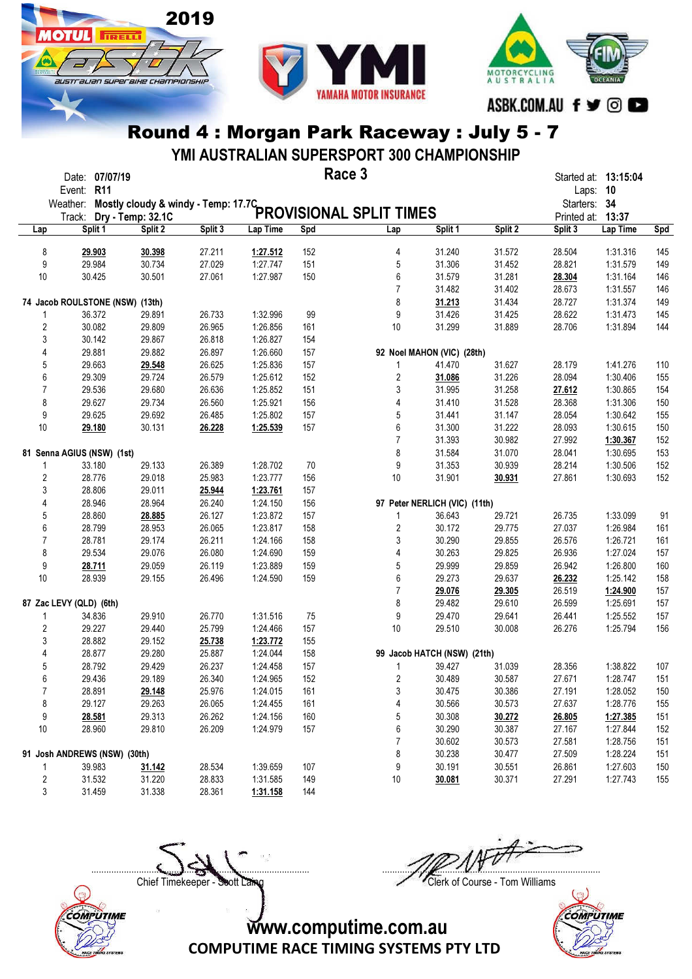

**ОТШ** 

**TRELL** 

australian superaike championskir



### Round 4 : Morgan Park Raceway : July 5 - 7

YMI AUSTRALIAN SUPERSPORT 300 CHAMPIONSHIP

|                  | Event: R11                   | Date: 07/07/19 |                                 |         |          |     | Race 3                                                         |                               |         | Laps: 10                    | Started at: 13:15:04 |     |
|------------------|------------------------------|----------------|---------------------------------|---------|----------|-----|----------------------------------------------------------------|-------------------------------|---------|-----------------------------|----------------------|-----|
|                  | Weather:<br>Track:           |                |                                 |         |          |     | Mostly cloudy & windy - Temp: 17.7C<br>PROVISIONAL SPLIT TIMES |                               |         | Starters: 34<br>Printed at: | 13:37                |     |
| Lap              |                              | Split 1        | Split 2                         | Split 3 | Lap Time | Spd | Lap                                                            | Split 1                       | Split 2 | Split 3                     | Lap Time             | Spd |
| 8                |                              | 29.903         | 30.398                          | 27.211  | 1:27.512 | 152 | 4                                                              | 31.240                        | 31.572  | 28.504                      | 1:31.316             | 145 |
| 9                |                              | 29.984         | 30.734                          | 27.029  | 1:27.747 | 151 | 5                                                              | 31.306                        | 31.452  | 28.821                      | 1:31.579             | 149 |
| 10               |                              | 30.425         | 30.501                          | 27.061  | 1:27.987 | 150 | 6                                                              | 31.579                        | 31.281  | 28.304                      | 1:31.164             | 146 |
|                  |                              |                |                                 |         |          |     | $\overline{7}$                                                 | 31.482                        | 31.402  | 28.673                      | 1:31.557             | 146 |
|                  |                              |                | 74 Jacob ROULSTONE (NSW) (13th) |         |          |     | 8                                                              | 31.213                        | 31.434  | 28.727                      | 1:31.374             | 149 |
| 1                |                              | 36.372         | 29.891                          | 26.733  | 1:32.996 | 99  | 9                                                              | 31.426                        | 31.425  | 28.622                      | 1:31.473             | 145 |
| $\boldsymbol{2}$ |                              | 30.082         | 29.809                          | 26.965  | 1:26.856 | 161 | 10                                                             | 31.299                        | 31.889  | 28.706                      | 1:31.894             | 144 |
| 3                |                              | 30.142         | 29.867                          | 26.818  | 1:26.827 | 154 |                                                                |                               |         |                             |                      |     |
| 4                |                              | 29.881         | 29.882                          | 26.897  | 1:26.660 | 157 |                                                                | 92 Noel MAHON (VIC) (28th)    |         |                             |                      |     |
| 5                |                              | 29.663         | 29.548                          | 26.625  | 1:25.836 | 157 | 1                                                              | 41.470                        | 31.627  | 28.179                      | 1:41.276             | 110 |
| 6                |                              | 29.309         | 29.724                          | 26.579  | 1:25.612 | 152 | 2                                                              | 31.086                        | 31.226  | 28.094                      | 1:30.406             | 155 |
| 7                |                              | 29.536         | 29.680                          | 26.636  | 1:25.852 | 151 | 3                                                              | 31.995                        | 31.258  | 27.612                      | 1:30.865             | 154 |
| 8                |                              | 29.627         | 29.734                          | 26.560  | 1:25.921 | 156 | 4                                                              | 31.410                        | 31.528  | 28.368                      | 1:31.306             | 150 |
| 9                |                              | 29.625         | 29.692                          | 26.485  | 1:25.802 | 157 | 5                                                              | 31.441                        | 31.147  | 28.054                      | 1:30.642             | 155 |
| 10               |                              | 29.180         | 30.131                          | 26.228  | 1:25.539 | 157 | 6                                                              | 31.300                        | 31.222  | 28.093                      | 1:30.615             | 150 |
|                  |                              |                |                                 |         |          |     | $\overline{7}$                                                 | 31.393                        | 30.982  | 27.992                      | 1:30.367             | 152 |
|                  | 81 Senna AGIUS (NSW) (1st)   |                |                                 |         |          |     | 8                                                              | 31.584                        | 31.070  | 28.041                      | 1:30.695             | 153 |
| 1                |                              | 33.180         | 29.133                          | 26.389  | 1:28.702 | 70  | 9                                                              | 31.353                        | 30.939  | 28.214                      | 1:30.506             | 152 |
| $\overline{2}$   |                              | 28.776         | 29.018                          | 25.983  | 1:23.777 | 156 | 10                                                             | 31.901                        | 30.931  | 27.861                      | 1:30.693             | 152 |
| 3                |                              | 28.806         | 29.011                          | 25.944  | 1:23.761 | 157 |                                                                |                               |         |                             |                      |     |
| 4                |                              | 28.946         | 28.964                          | 26.240  | 1:24.150 | 156 |                                                                | 97 Peter NERLICH (VIC) (11th) |         |                             |                      |     |
| 5                |                              | 28.860         | 28.885                          | 26.127  | 1:23.872 | 157 | 1                                                              | 36.643                        | 29.721  | 26.735                      | 1:33.099             | 91  |
| 6                |                              | 28.799         | 28.953                          | 26.065  | 1:23.817 | 158 | $\overline{\mathbf{c}}$                                        | 30.172                        | 29.775  | 27.037                      | 1:26.984             | 161 |
| $\overline{7}$   |                              | 28.781         | 29.174                          | 26.211  | 1:24.166 | 158 | 3                                                              | 30.290                        | 29.855  | 26.576                      | 1:26.721             | 161 |
| 8                |                              | 29.534         | 29.076                          | 26.080  | 1:24.690 | 159 | 4                                                              | 30.263                        | 29.825  | 26.936                      | 1:27.024             | 157 |
| 9                |                              | 28.711         | 29.059                          | 26.119  | 1:23.889 | 159 | 5                                                              | 29.999                        | 29.859  | 26.942                      | 1:26.800             | 160 |
| 10               |                              | 28.939         | 29.155                          | 26.496  | 1:24.590 | 159 | 6                                                              | 29.273                        | 29.637  | 26.232                      | 1:25.142             | 158 |
|                  |                              |                |                                 |         |          |     | $\overline{7}$                                                 | 29.076                        | 29.305  | 26.519                      | 1:24.900             | 157 |
|                  | 87 Zac LEVY (QLD) (6th)      |                |                                 |         |          |     | 8                                                              | 29.482                        | 29.610  | 26.599                      | 1:25.691             | 157 |
| 1                |                              | 34.836         | 29.910                          | 26.770  | 1:31.516 | 75  | 9                                                              | 29.470                        | 29.641  | 26.441                      | 1:25.552             | 157 |
| 2                |                              | 29.227         | 29.440                          | 25.799  | 1:24.466 | 157 | 10                                                             | 29.510                        | 30.008  | 26.276                      | 1:25.794             | 156 |
| 3                |                              | 28.882         | 29.152                          | 25.738  | 1:23.772 | 155 |                                                                |                               |         |                             |                      |     |
| 4                |                              | 28.877         | 29.280                          | 25.887  | 1:24.044 | 158 |                                                                | 99 Jacob HATCH (NSW) (21th)   |         |                             |                      |     |
| 5                |                              | 28.792         | 29.429                          | 26.237  | 1:24.458 | 157 | 1                                                              | 39.427                        | 31.039  | 28.356                      | 1:38.822             | 107 |
| 6                |                              | 29.436         | 29.189                          | 26.340  | 1:24.965 | 152 | 2                                                              | 30.489                        | 30.587  | 27.671                      | 1:28.747             | 151 |
| 7                |                              | 28.891         | 29.148                          | 25.976  | 1:24.015 | 161 | 3                                                              | 30.475                        | 30.386  | 27.191                      | 1:28.052             | 150 |
| 8                |                              | 29.127         | 29.263                          | 26.065  | 1:24.455 | 161 | 4                                                              | 30.566                        | 30.573  | 27.637                      | 1:28.776             | 155 |
| 9                |                              | 28.581         | 29.313                          | 26.262  | 1:24.156 | 160 | 5                                                              | 30.308                        | 30.272  | 26.805                      | 1:27.385             | 151 |
| 10               |                              | 28.960         | 29.810                          | 26.209  | 1:24.979 | 157 | 6                                                              | 30.290                        | 30.387  | 27.167                      | 1:27.844             | 152 |
|                  |                              |                |                                 |         |          |     | 7                                                              | 30.602                        | 30.573  | 27.581                      | 1:28.756             | 151 |
|                  | 91 Josh ANDREWS (NSW) (30th) |                |                                 |         |          |     | 8                                                              | 30.238                        | 30.477  | 27.509                      | 1:28.224             | 151 |
| 1                |                              | 39.983         | 31.142                          | 28.534  | 1:39.659 | 107 | 9                                                              | 30.191                        | 30.551  | 26.861                      | 1:27.603             | 150 |
| 2                |                              | 31.532         | 31.220                          | 28.833  | 1:31.585 | 149 | 10                                                             | 30.081                        | 30.371  | 27.291                      | 1:27.743             | 155 |
| 3                |                              | 31.459         | 31.338                          | 28.361  | 1:31.158 | 144 |                                                                |                               |         |                             |                      |     |

Chief Timekeeper - Soott Laing Chief Timekeeper - Soott Laing

COMPUTIME

 $\Box$ 



COMPUTIME RACE TIMING SYSTEMS PTY LTD

www.computime.com.au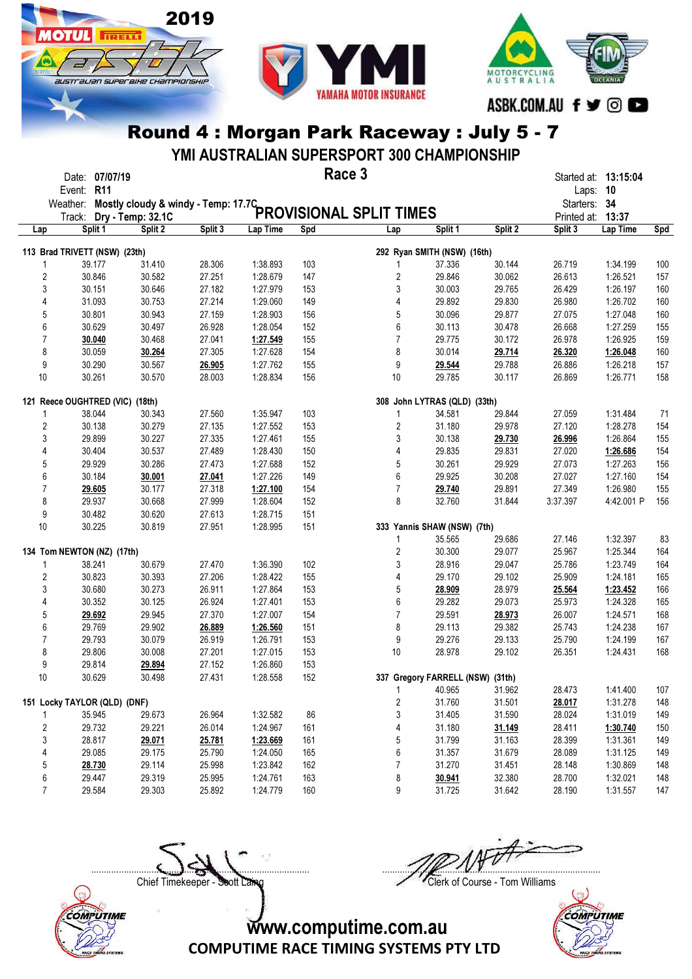

Іотіі

**TRELL** 

austrauan superaixe championskir



Round 4 : Morgan Park Raceway : July 5 - 7

YMI AUSTRALIAN SUPERSPORT 300 CHAMPIONSHIP

|                | Date: 07/07/19<br>Event: R11                  |                   |         |          | Race 3 |                                |                                  |         | Laps: 10     | Started at: 13:15:04 |     |
|----------------|-----------------------------------------------|-------------------|---------|----------|--------|--------------------------------|----------------------------------|---------|--------------|----------------------|-----|
|                | Weather: Mostly cloudy & windy - Temp: 17.7C_ |                   |         |          |        |                                |                                  |         | Starters: 34 |                      |     |
|                | Track:                                        | Dry - Temp: 32.1C |         |          |        | <b>PROVISIONAL SPLIT TIMES</b> |                                  |         | Printed at:  | 13:37                |     |
| Lap            | Split 1                                       | Split 2           | Split 3 | Lap Time | Spd    | Lap                            | Split 1                          | Split 2 | Split 3      | Lap Time             | Spd |
|                | 113 Brad TRIVETT (NSW) (23th)                 |                   |         |          |        |                                | 292 Ryan SMITH (NSW) (16th)      |         |              |                      |     |
| 1              | 39.177                                        | 31.410            | 28.306  | 1:38.893 | 103    | 1                              | 37.336                           | 30.144  | 26.719       | 1:34.199             | 100 |
| $\overline{c}$ | 30.846                                        | 30.582            | 27.251  | 1:28.679 | 147    | 2                              | 29.846                           | 30.062  | 26.613       | 1:26.521             | 157 |
| 3              | 30.151                                        | 30.646            | 27.182  | 1:27.979 | 153    | 3                              | 30.003                           | 29.765  | 26.429       | 1:26.197             | 160 |
| 4              | 31.093                                        | 30.753            | 27.214  | 1:29.060 | 149    | 4                              | 29.892                           | 29.830  | 26.980       | 1:26.702             | 160 |
| 5              | 30.801                                        | 30.943            | 27.159  | 1:28.903 | 156    | 5                              | 30.096                           | 29.877  | 27.075       | 1:27.048             | 160 |
| 6              | 30.629                                        | 30.497            | 26.928  | 1:28.054 | 152    | 6                              | 30.113                           | 30.478  | 26.668       | 1:27.259             | 155 |
| 7              | 30.040                                        | 30.468            | 27.041  | 1:27.549 | 155    | $\overline{7}$                 | 29.775                           | 30.172  | 26.978       | 1:26.925             | 159 |
| 8              | 30.059                                        | 30.264            | 27.305  | 1:27.628 | 154    | 8                              | 30.014                           | 29.714  | 26.320       | 1:26.048             | 160 |
| 9              | 30.290                                        | 30.567            | 26.905  | 1:27.762 | 155    | 9                              | 29.544                           | 29.788  | 26.886       | 1:26.218             | 157 |
| 10             | 30.261                                        | 30.570            | 28.003  | 1:28.834 | 156    | 10                             | 29.785                           | 30.117  | 26.869       | 1:26.771             | 158 |
|                |                                               |                   |         |          |        |                                |                                  |         |              |                      |     |
|                | 121 Reece OUGHTRED (VIC) (18th)               |                   |         |          |        |                                | 308 John LYTRAS (QLD) (33th)     |         |              |                      |     |
| 1              | 38.044                                        | 30.343            | 27.560  | 1:35.947 | 103    | 1                              | 34.581                           | 29.844  | 27.059       | 1:31.484             | 71  |
| $\overline{c}$ | 30.138                                        | 30.279            | 27.135  | 1:27.552 | 153    | 2                              | 31.180                           | 29.978  | 27.120       | 1:28.278             | 154 |
| 3              | 29.899                                        | 30.227            | 27.335  | 1:27.461 | 155    | 3                              | 30.138                           | 29.730  | 26.996       | 1:26.864             | 155 |
| 4              | 30.404                                        | 30.537            | 27.489  | 1:28.430 | 150    | 4                              | 29.835                           | 29.831  | 27.020       | 1:26.686             | 154 |
| 5              | 29.929                                        | 30.286            | 27.473  | 1:27.688 | 152    | 5                              | 30.261                           | 29.929  | 27.073       | 1:27.263             | 156 |
| 6              | 30.184                                        | 30.001            | 27.041  | 1:27.226 | 149    | 6                              | 29.925                           | 30.208  | 27.027       | 1:27.160             | 154 |
| 7              | 29.605                                        | 30.177            | 27.318  | 1:27.100 | 154    | $\overline{7}$                 | 29.740                           | 29.891  | 27.349       | 1:26.980             | 155 |
| 8              | 29.937                                        | 30.668            | 27.999  | 1:28.604 | 152    | 8                              | 32.760                           | 31.844  | 3:37.397     | 4:42.001 P           | 156 |
| 9              | 30.482                                        | 30.620            | 27.613  | 1:28.715 | 151    |                                |                                  |         |              |                      |     |
| 10             | 30.225                                        | 30.819            | 27.951  | 1:28.995 | 151    |                                | 333 Yannis SHAW (NSW) (7th)      |         |              |                      |     |
|                |                                               |                   |         |          |        | 1                              | 35.565                           | 29.686  | 27.146       | 1:32.397             | 83  |
|                | 134 Tom NEWTON (NZ) (17th)                    |                   |         |          |        | 2                              | 30.300                           | 29.077  | 25.967       | 1:25.344             | 164 |
| 1              | 38.241                                        | 30.679            | 27.470  | 1:36.390 | 102    | 3                              | 28.916                           | 29.047  | 25.786       | 1:23.749             | 164 |
| 2              | 30.823                                        | 30.393            | 27.206  | 1:28.422 | 155    | 4                              | 29.170                           | 29.102  | 25.909       | 1:24.181             | 165 |
| 3              | 30.680                                        | 30.273            | 26.911  | 1:27.864 | 153    | 5                              | 28.909                           | 28.979  | 25.564       | 1:23.452             | 166 |
| 4              | 30.352                                        | 30.125            | 26.924  | 1:27.401 | 153    | 6                              | 29.282                           | 29.073  | 25.973       | 1:24.328             | 165 |
| 5              | 29.692                                        | 29.945            | 27.370  | 1:27.007 | 154    | $\overline{7}$                 | 29.591                           | 28.973  | 26.007       | 1:24.571             | 168 |
| 6              | 29.769                                        | 29.902            | 26.889  | 1:26.560 | 151    | 8                              | 29.113                           | 29.382  | 25.743       | 1:24.238             | 167 |
| $\overline{7}$ | 29.793                                        | 30.079            | 26.919  | 1:26.791 | 153    | 9                              | 29.276                           | 29.133  | 25.790       | 1:24.199             | 167 |
| 8              | 29.806                                        | 30.008            | 27.201  | 1:27.015 | 153    | 10                             | 28.978                           | 29.102  | 26.351       | 1:24.431             | 168 |
| 9              | 29.814                                        | 29.894            | 27.152  | 1:26.860 | 153    |                                |                                  |         |              |                      |     |
| 10             | 30.629                                        | 30.498            | 27.431  | 1:28.558 | 152    |                                | 337 Gregory FARRELL (NSW) (31th) |         |              |                      |     |
|                |                                               |                   |         |          |        | 1                              | 40.965                           | 31.962  | 28.473       | 1:41.400             | 107 |
|                | 151 Locky TAYLOR (QLD) (DNF)                  |                   |         |          |        | $\boldsymbol{2}$               | 31.760                           | 31.501  | 28.017       | 1:31.278             | 148 |
|                | 35.945                                        | 29.673            | 26.964  | 1:32.582 | 86     | 3                              | 31.405                           | 31.590  | 28.024       | 1:31.019             | 149 |
| $\overline{c}$ | 29.732                                        | 29.221            | 26.014  | 1:24.967 | 161    | 4                              | 31.180                           | 31.149  | 28.411       | 1:30.740             | 150 |
| 3              | 28.817                                        | 29.071            | 25.781  | 1:23.669 | 161    | 5                              | 31.799                           | 31.163  | 28.399       | 1:31.361             | 149 |
| 4              | 29.085                                        | 29.175            | 25.790  | 1:24.050 | 165    | 6                              | 31.357                           | 31.679  | 28.089       | 1:31.125             | 149 |
| 5              | 28.730                                        | 29.114            | 25.998  | 1:23.842 | 162    | 7                              | 31.270                           | 31.451  | 28.148       | 1:30.869             | 148 |
| 6              | 29.447                                        | 29.319            | 25.995  | 1:24.761 | 163    | 8                              | 30.941                           | 32.380  | 28.700       | 1:32.021             | 148 |
| $\overline{7}$ | 29.584                                        | 29.303            | 25.892  | 1:24.779 | 160    | 9                              | 31.725                           | 31.642  | 28.190       | 1:31.557             | 147 |

Chief Timekeeper - Soott Laing Chief Timekeeper - Soott Laing

 $\Box$ 



COMPUTIME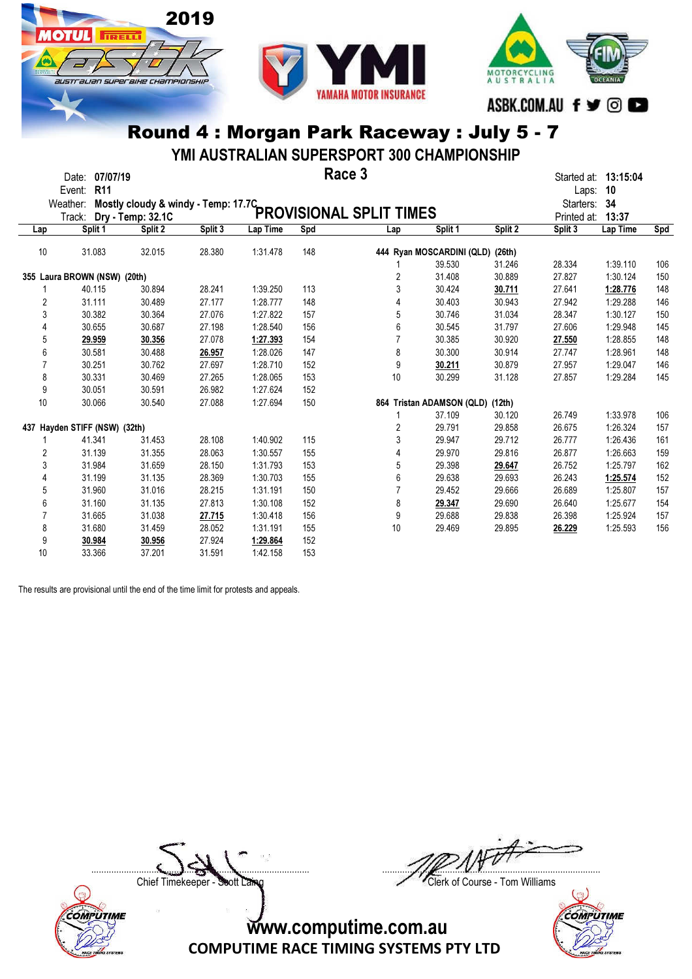



YMI AUSTRALIAN SUPERSPORT 300 CHAMPIONSHIP

|                | Date:<br>Event: | 07/07/19<br><b>R11</b>        |                   |                                     |          |     | Race 3                         |                           |         | Started at: 13:15:04 |           |     |
|----------------|-----------------|-------------------------------|-------------------|-------------------------------------|----------|-----|--------------------------------|---------------------------|---------|----------------------|-----------|-----|
|                | Weather:        |                               |                   |                                     |          |     |                                |                           |         | Laps:                | 10<br>-34 |     |
|                |                 |                               |                   | Mostly cloudy & windy - Temp: 17.7C |          |     | <b>PROVISIONAL SPLIT TIMES</b> |                           |         | Starters:            |           |     |
|                | Track:          |                               | Dry - Temp: 32.1C |                                     |          |     |                                |                           |         | Printed at:          | 13:37     |     |
| Lap            |                 | Split 1                       | Split 2           | Split 3                             | Lap Time | Spd | Lap                            | Split 1                   | Split 2 | Split 3              | Lap Time  | Spd |
| 10             |                 | 31.083                        | 32.015            | 28.380                              | 1:31.478 | 148 |                                | 444 Ryan MOSCARDINI (QLD) | (26th)  |                      |           |     |
|                |                 |                               |                   |                                     |          |     |                                | 39.530                    | 31.246  | 28.334               | 1:39.110  | 106 |
|                |                 | 355 Laura BROWN (NSW) (20th)  |                   |                                     |          |     | 2                              | 31.408                    | 30.889  | 27.827               | 1:30.124  | 150 |
| 1              |                 | 40.115                        | 30.894            | 28.241                              | 1:39.250 | 113 | 3                              | 30.424                    | 30.711  | 27.641               | 1:28.776  | 148 |
| 2              |                 | 31.111                        | 30.489            | 27.177                              | 1:28.777 | 148 | 4                              | 30.403                    | 30.943  | 27.942               | 1:29.288  | 146 |
| 3              |                 | 30.382                        | 30.364            | 27.076                              | 1:27.822 | 157 | 5                              | 30.746                    | 31.034  | 28.347               | 1:30.127  | 150 |
| 4              |                 | 30.655                        | 30.687            | 27.198                              | 1:28.540 | 156 | 6                              | 30.545                    | 31.797  | 27.606               | 1:29.948  | 145 |
| 5              |                 | 29.959                        | 30.356            | 27.078                              | 1:27.393 | 154 |                                | 30.385                    | 30.920  | 27.550               | 1:28.855  | 148 |
| 6              |                 | 30.581                        | 30.488            | 26.957                              | 1:28.026 | 147 | 8                              | 30.300                    | 30.914  | 27.747               | 1:28.961  | 148 |
| $\overline{7}$ |                 | 30.251                        | 30.762            | 27.697                              | 1:28.710 | 152 | 9                              | 30.211                    | 30.879  | 27.957               | 1:29.047  | 146 |
| 8              |                 | 30.331                        | 30.469            | 27.265                              | 1:28.065 | 153 | 10                             | 30.299                    | 31.128  | 27.857               | 1:29.284  | 145 |
| 9              |                 | 30.051                        | 30.591            | 26.982                              | 1:27.624 | 152 |                                |                           |         |                      |           |     |
| 10             |                 | 30.066                        | 30.540            | 27.088                              | 1:27.694 | 150 |                                | 864 Tristan ADAMSON (QLD) | (12th)  |                      |           |     |
|                |                 |                               |                   |                                     |          |     |                                | 37.109                    | 30.120  | 26.749               | 1:33.978  | 106 |
|                |                 | 437 Hayden STIFF (NSW) (32th) |                   |                                     |          |     | 2                              | 29.791                    | 29.858  | 26.675               | 1:26.324  | 157 |
|                |                 | 41.341                        | 31.453            | 28.108                              | 1:40.902 | 115 | 3                              | 29.947                    | 29.712  | 26.777               | 1:26.436  | 161 |
| 2              |                 | 31.139                        | 31.355            | 28.063                              | 1:30.557 | 155 | 4                              | 29.970                    | 29.816  | 26.877               | 1:26.663  | 159 |
| 3              |                 | 31.984                        | 31.659            | 28.150                              | 1:31.793 | 153 | 5                              | 29.398                    | 29.647  | 26.752               | 1:25.797  | 162 |
| 4              |                 | 31.199                        | 31.135            | 28.369                              | 1:30.703 | 155 | 6                              | 29.638                    | 29.693  | 26.243               | 1:25.574  | 152 |
| 5              |                 | 31.960                        | 31.016            | 28.215                              | 1:31.191 | 150 | $\overline{7}$                 | 29.452                    | 29.666  | 26.689               | 1:25.807  | 157 |
| 6              |                 | 31.160                        | 31.135            | 27.813                              | 1:30.108 | 152 | 8                              | 29.347                    | 29.690  | 26.640               | 1:25.677  | 154 |
| 7              |                 | 31.665                        | 31.038            | 27.715                              | 1:30.418 | 156 | 9                              | 29.688                    | 29.838  | 26.398               | 1:25.924  | 157 |
| 8              |                 | 31.680                        | 31.459            | 28.052                              | 1:31.191 | 155 | 10                             | 29.469                    | 29.895  | 26.229               | 1:25.593  | 156 |
| 9              |                 | 30.984                        | 30.956            | 27.924                              | 1:29.864 | 152 |                                |                           |         |                      |           |     |
| 10             |                 | 33.366                        | 37.201            | 31.591                              | 1:42.158 | 153 |                                |                           |         |                      |           |     |

The results are provisional until the end of the time limit for protests and appeals.

2019

**TRELL** 

austrauan superaixe championskir

COMPUTIME

 $\Box$ 

Chief Timekeeper - Soott Laing Chief Timekeeper - Soott Laing

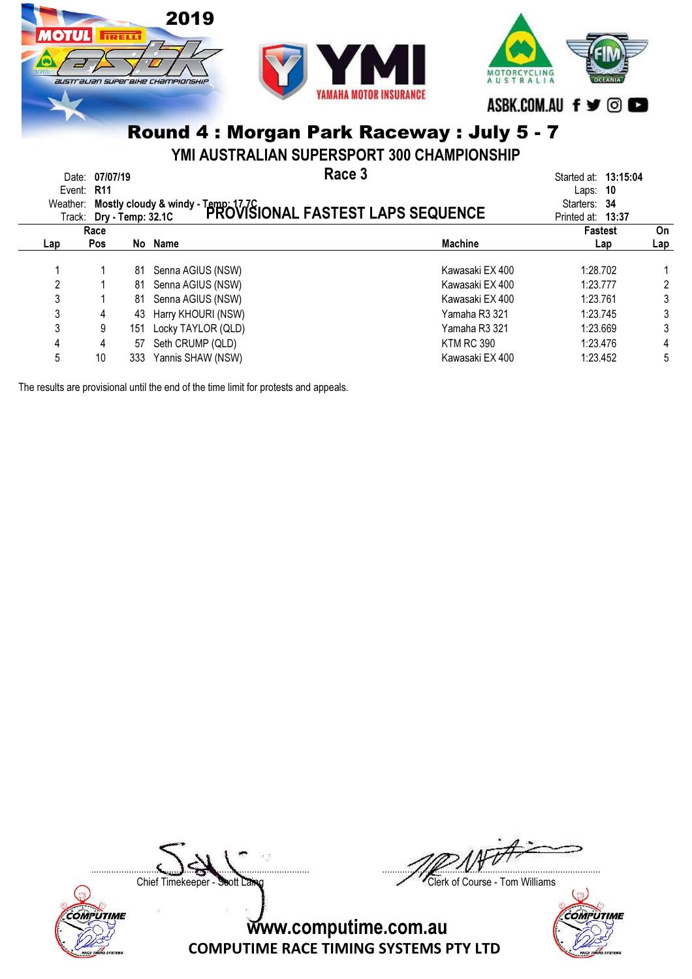

YMI AUSTRALIAN SUPERSPORT 300 CHAMPIONSHIP

|     | Date: 07/07/19<br>Event: R11     |     | Weather: Mostly cloudy & windy - Temp: 17.7C<br>Track: Dry - Temp: 32.1C PROVISIONAL FASTEST LAPS SEQUENCE | Race 3            | Started at: 13:15:04<br>Laps: $10$<br>Starters: 34 |     |
|-----|----------------------------------|-----|------------------------------------------------------------------------------------------------------------|-------------------|----------------------------------------------------|-----|
|     | Track: Dry - Temp: 32.1C<br>Race |     |                                                                                                            |                   | Printed at: 13:37<br><b>Fastest</b>                | On  |
| Lap | <b>Pos</b>                       |     | No Name                                                                                                    | <b>Machine</b>    | Lap                                                | Lap |
|     |                                  | 81  | Senna AGIUS (NSW)                                                                                          | Kawasaki EX 400   | 1:28.702                                           |     |
| 2   |                                  | 81  | Senna AGIUS (NSW)                                                                                          | Kawasaki EX 400   | 1:23.777                                           | 2   |
| 3   |                                  | 81  | Senna AGIUS (NSW)                                                                                          | Kawasaki EX 400   | 1:23.761                                           | 3   |
| 3   | 4                                | 43  | Harry KHOURI (NSW)                                                                                         | Yamaha R3 321     | 1:23.745                                           | 3   |
| 3   | 9                                | 151 | Locky TAYLOR (QLD)                                                                                         | Yamaha R3 321     | 1:23.669                                           | 3   |
| 4   | 4                                | 57  | Seth CRUMP (QLD)                                                                                           | <b>KTM RC 390</b> | 1:23.476                                           | 4   |
| 5   | 10                               | 333 | Yannis SHAW (NSW)                                                                                          | Kawasaki EX 400   | 1:23.452                                           | 5   |
|     |                                  |     |                                                                                                            |                   |                                                    |     |

The results are provisional until the end of the time limit for protests and appeals.

COMPUTIME



Chief Timekeeper - Soott Laing Chief Timekeeper - Soott Laing

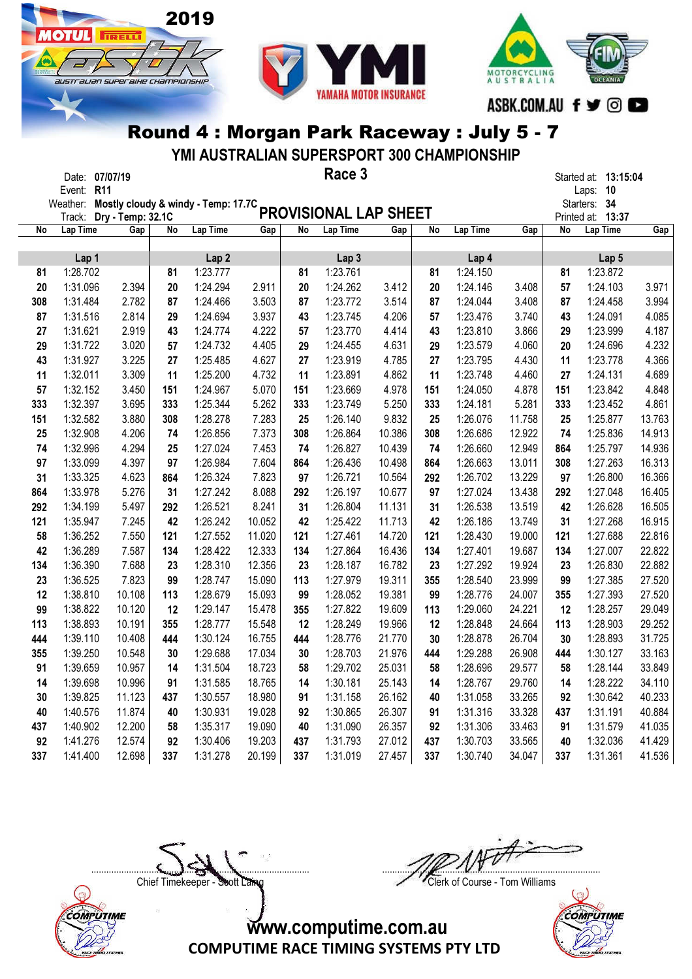**OTUL** 

**TRELL** 

australian superaixe championskir



Round 4 : Morgan Park Raceway : July 5 - 7

YMI AUSTRALIAN SUPERSPORT 300 CHAMPIONSHIP

|     | Date: 07/07/19     |                   |     |                                     |        |     | Race 3                |        |     |          |        |             | Started at: 13:15:04        |        |
|-----|--------------------|-------------------|-----|-------------------------------------|--------|-----|-----------------------|--------|-----|----------|--------|-------------|-----------------------------|--------|
|     | Event:<br>Weather: | <b>R11</b>        |     | Mostly cloudy & windy - Temp: 17.7C |        |     |                       |        |     |          |        |             | 10<br>Laps:<br>Starters: 34 |        |
|     | Track:             | Dry - Temp: 32.1C |     |                                     |        |     | PROVISIONAL LAP SHEET |        |     |          |        | Printed at: | 13:37                       |        |
| No  | Lap Time           | Gap               | No  | Lap Time                            | Gap    | No  | Lap Time              | Gap    | No  | Lap Time | Gap    | No          | Lap Time                    | Gap    |
|     |                    |                   |     |                                     |        |     |                       |        |     |          |        |             |                             |        |
|     | Lap 1              |                   |     | Lap <sub>2</sub>                    |        |     | Lap <sub>3</sub>      |        |     | Lap 4    |        |             | Lap <sub>5</sub>            |        |
| 81  | 1:28.702           |                   | 81  | 1:23.777                            |        | 81  | 1:23.761              |        | 81  | 1:24.150 |        | 81          | 1:23.872                    |        |
| 20  | 1:31.096           | 2.394             | 20  | 1:24.294                            | 2.911  | 20  | 1:24.262              | 3.412  | 20  | 1:24.146 | 3.408  | 57          | 1:24.103                    | 3.971  |
| 308 | 1:31.484           | 2.782             | 87  | 1:24.466                            | 3.503  | 87  | 1:23.772              | 3.514  | 87  | 1:24.044 | 3.408  | 87          | 1:24.458                    | 3.994  |
| 87  | 1:31.516           | 2.814             | 29  | 1:24.694                            | 3.937  | 43  | 1:23.745              | 4.206  | 57  | 1:23.476 | 3.740  | 43          | 1:24.091                    | 4.085  |
| 27  | 1:31.621           | 2.919             | 43  | 1:24.774                            | 4.222  | 57  | 1:23.770              | 4.414  | 43  | 1:23.810 | 3.866  | 29          | 1:23.999                    | 4.187  |
| 29  | 1:31.722           | 3.020             | 57  | 1:24.732                            | 4.405  | 29  | 1:24.455              | 4.631  | 29  | 1:23.579 | 4.060  | 20          | 1:24.696                    | 4.232  |
| 43  | 1:31.927           | 3.225             | 27  | 1:25.485                            | 4.627  | 27  | 1:23.919              | 4.785  | 27  | 1:23.795 | 4.430  | 11          | 1:23.778                    | 4.366  |
| 11  | 1:32.011           | 3.309             | 11  | 1:25.200                            | 4.732  | 11  | 1:23.891              | 4.862  | 11  | 1:23.748 | 4.460  | 27          | 1:24.131                    | 4.689  |
| 57  | 1:32.152           | 3.450             | 151 | 1:24.967                            | 5.070  | 151 | 1:23.669              | 4.978  | 151 | 1:24.050 | 4.878  | 151         | 1:23.842                    | 4.848  |
| 333 | 1:32.397           | 3.695             | 333 | 1:25.344                            | 5.262  | 333 | 1:23.749              | 5.250  | 333 | 1:24.181 | 5.281  | 333         | 1:23.452                    | 4.861  |
| 151 | 1:32.582           | 3.880             | 308 | 1:28.278                            | 7.283  | 25  | 1:26.140              | 9.832  | 25  | 1:26.076 | 11.758 | 25          | 1:25.877                    | 13.763 |
| 25  | 1:32.908           | 4.206             | 74  | 1:26.856                            | 7.373  | 308 | 1:26.864              | 10.386 | 308 | 1:26.686 | 12.922 | 74          | 1:25.836                    | 14.913 |
| 74  | 1:32.996           | 4.294             | 25  | 1:27.024                            | 7.453  | 74  | 1:26.827              | 10.439 | 74  | 1:26.660 | 12.949 | 864         | 1:25.797                    | 14.936 |
| 97  | 1:33.099           | 4.397             | 97  | 1:26.984                            | 7.604  | 864 | 1:26.436              | 10.498 | 864 | 1:26.663 | 13.011 | 308         | 1:27.263                    | 16.313 |
| 31  | 1:33.325           | 4.623             | 864 | 1:26.324                            | 7.823  | 97  | 1:26.721              | 10.564 | 292 | 1:26.702 | 13.229 | 97          | 1:26.800                    | 16.366 |
| 864 | 1:33.978           | 5.276             | 31  | 1:27.242                            | 8.088  | 292 | 1:26.197              | 10.677 | 97  | 1:27.024 | 13.438 | 292         | 1:27.048                    | 16.405 |
| 292 | 1:34.199           | 5.497             | 292 | 1:26.521                            | 8.241  | 31  | 1:26.804              | 11.131 | 31  | 1:26.538 | 13.519 | 42          | 1:26.628                    | 16.505 |
| 121 | 1:35.947           | 7.245             | 42  | 1:26.242                            | 10.052 | 42  | 1:25.422              | 11.713 | 42  | 1:26.186 | 13.749 | 31          | 1:27.268                    | 16.915 |
| 58  | 1:36.252           | 7.550             | 121 | 1:27.552                            | 11.020 | 121 | 1:27.461              | 14.720 | 121 | 1:28.430 | 19.000 | 121         | 1:27.688                    | 22.816 |
| 42  | 1:36.289           | 7.587             | 134 | 1:28.422                            | 12.333 | 134 | 1:27.864              | 16.436 | 134 | 1:27.401 | 19.687 | 134         | 1:27.007                    | 22.822 |
| 134 | 1:36.390           | 7.688             | 23  | 1:28.310                            | 12.356 | 23  | 1:28.187              | 16.782 | 23  | 1:27.292 | 19.924 | 23          | 1:26.830                    | 22.882 |
| 23  | 1:36.525           | 7.823             | 99  | 1:28.747                            | 15.090 | 113 | 1:27.979              | 19.311 | 355 | 1:28.540 | 23.999 | 99          | 1:27.385                    | 27.520 |
| 12  | 1:38.810           | 10.108            | 113 | 1:28.679                            | 15.093 | 99  | 1:28.052              | 19.381 | 99  | 1:28.776 | 24.007 | 355         | 1:27.393                    | 27.520 |
| 99  | 1:38.822           | 10.120            | 12  | 1:29.147                            | 15.478 | 355 | 1:27.822              | 19.609 | 113 | 1:29.060 | 24.221 | 12          | 1:28.257                    | 29.049 |
| 113 | 1:38.893           | 10.191            | 355 | 1:28.777                            | 15.548 | 12  | 1:28.249              | 19.966 | 12  | 1:28.848 | 24.664 | 113         | 1:28.903                    | 29.252 |
| 444 | 1:39.110           | 10.408            | 444 | 1:30.124                            | 16.755 | 444 | 1:28.776              | 21.770 | 30  | 1:28.878 | 26.704 | 30          | 1:28.893                    | 31.725 |
| 355 | 1:39.250           | 10.548            | 30  | 1:29.688                            | 17.034 | 30  | 1:28.703              | 21.976 | 444 | 1:29.288 | 26.908 | 444         | 1:30.127                    | 33.163 |
| 91  | 1:39.659           | 10.957            | 14  | 1:31.504                            | 18.723 | 58  | 1:29.702              | 25.031 | 58  | 1:28.696 | 29.577 | 58          | 1:28.144                    | 33.849 |
| 14  | 1:39.698           | 10.996            | 91  | 1:31.585                            | 18.765 | 14  | 1:30.181              | 25.143 | 14  | 1:28.767 | 29.760 | 14          | 1:28.222                    | 34.110 |
| 30  | 1:39.825           | 11.123            | 437 | 1:30.557                            | 18.980 | 91  | 1:31.158              | 26.162 | 40  | 1:31.058 | 33.265 | 92          | 1:30.642                    | 40.233 |
| 40  | 1:40.576           | 11.874            | 40  | 1:30.931                            | 19.028 | 92  | 1:30.865              | 26.307 | 91  | 1:31.316 | 33.328 | 437         | 1:31.191                    | 40.884 |
| 437 | 1:40.902           | 12.200            | 58  | 1:35.317                            | 19.090 | 40  | 1:31.090              | 26.357 | 92  | 1:31.306 | 33.463 | 91          | 1:31.579                    | 41.035 |
| 92  | 1:41.276           | 12.574            | 92  | 1:30.406                            | 19.203 | 437 | 1:31.793              | 27.012 | 437 | 1:30.703 | 33.565 | 40          | 1:32.036                    | 41.429 |
| 337 | 1:41.400           | 12.698            | 337 | 1:31.278                            | 20.199 | 337 | 1:31.019              | 27.457 | 337 | 1:30.740 | 34.047 | 337         | 1:31.361                    | 41.536 |

Chief Timekeeper - Soott Laing Chief Timekeeper - Soott Laing

COMPUTIME

 $\Box$ 

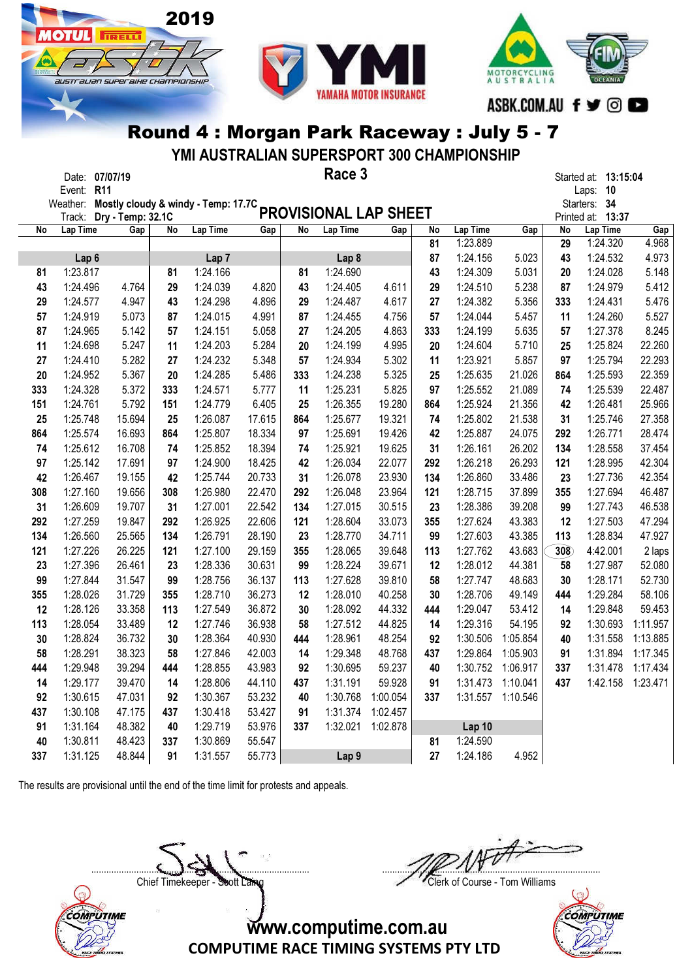



YMI AUSTRALIAN SUPERSPORT 300 CHAMPIONSHIP

|     | Date: 07/07/19<br>Event: R11 |        |     |                                              |        |     | Race 3                |          |     |                   |          |           | Started at: 13:15:04<br>Laps: 10 |          |
|-----|------------------------------|--------|-----|----------------------------------------------|--------|-----|-----------------------|----------|-----|-------------------|----------|-----------|----------------------------------|----------|
|     |                              |        |     | Weather: Mostly cloudy & windy - Temp: 17.7C |        |     |                       |          |     |                   |          |           | Starters: 34                     |          |
|     | Track: Dry - Temp: 32.1C     |        |     |                                              |        |     | PROVISIONAL LAP SHEET |          |     |                   |          |           | Printed at: 13:37                |          |
| No  | Lap Time                     | Gap    | No  | Lap Time                                     | Gap    | No  | <b>Lap Time</b>       | Gap      | No  | <b>Lap Time</b>   | Gap      | <b>No</b> | Lap Time                         | Gap      |
|     |                              |        |     |                                              |        |     |                       |          | 81  | 1:23.889          |          | 29        | 1:24.320                         | 4.968    |
|     | Lap <sub>6</sub>             |        |     | Lap <sub>7</sub>                             |        |     | Lap <sub>8</sub>      |          | 87  | 1:24.156          | 5.023    | 43        | 1:24.532                         | 4.973    |
| 81  | 1:23.817                     |        | 81  | 1:24.166                                     |        | 81  | 1:24.690              |          | 43  | 1:24.309          | 5.031    | 20        | 1:24.028                         | 5.148    |
| 43  | 1:24.496                     | 4.764  | 29  | 1:24.039                                     | 4.820  | 43  | 1:24.405              | 4.611    | 29  | 1:24.510          | 5.238    | 87        | 1:24.979                         | 5.412    |
| 29  | 1:24.577                     | 4.947  | 43  | 1:24.298                                     | 4.896  | 29  | 1:24.487              | 4.617    | 27  | 1:24.382          | 5.356    | 333       | 1:24.431                         | 5.476    |
| 57  | 1:24.919                     | 5.073  | 87  | 1:24.015                                     | 4.991  | 87  | 1:24.455              | 4.756    | 57  | 1:24.044          | 5.457    | 11        | 1:24.260                         | 5.527    |
| 87  | 1:24.965                     | 5.142  | 57  | 1:24.151                                     | 5.058  | 27  | 1:24.205              | 4.863    | 333 | 1:24.199          | 5.635    | 57        | 1:27.378                         | 8.245    |
| 11  | 1:24.698                     | 5.247  | 11  | 1:24.203                                     | 5.284  | 20  | 1:24.199              | 4.995    | 20  | 1:24.604          | 5.710    | 25        | 1:25.824                         | 22.260   |
| 27  | 1:24.410                     | 5.282  | 27  | 1:24.232                                     | 5.348  | 57  | 1:24.934              | 5.302    | 11  | 1:23.921          | 5.857    | 97        | 1:25.794                         | 22.293   |
| 20  | 1:24.952                     | 5.367  | 20  | 1:24.285                                     | 5.486  | 333 | 1:24.238              | 5.325    | 25  | 1:25.635          | 21.026   | 864       | 1:25.593                         | 22.359   |
| 333 | 1:24.328                     | 5.372  | 333 | 1:24.571                                     | 5.777  | 11  | 1:25.231              | 5.825    | 97  | 1:25.552          | 21.089   | 74        | 1:25.539                         | 22.487   |
| 151 | 1:24.761                     | 5.792  | 151 | 1:24.779                                     | 6.405  | 25  | 1:26.355              | 19.280   | 864 | 1:25.924          | 21.356   | 42        | 1:26.481                         | 25.966   |
| 25  | 1:25.748                     | 15.694 | 25  | 1:26.087                                     | 17.615 | 864 | 1:25.677              | 19.321   | 74  | 1:25.802          | 21.538   | 31        | 1:25.746                         | 27.358   |
| 864 | 1:25.574                     | 16.693 | 864 | 1:25.807                                     | 18.334 | 97  | 1:25.691              | 19.426   | 42  | 1:25.887          | 24.075   | 292       | 1:26.771                         | 28.474   |
| 74  | 1:25.612                     | 16.708 | 74  | 1:25.852                                     | 18.394 | 74  | 1:25.921              | 19.625   | 31  | 1:26.161          | 26.202   | 134       | 1:28.558                         | 37.454   |
| 97  | 1:25.142                     | 17.691 | 97  | 1:24.900                                     | 18.425 | 42  | 1:26.034              | 22.077   | 292 | 1:26.218          | 26.293   | 121       | 1:28.995                         | 42.304   |
| 42  | 1:26.467                     | 19.155 | 42  | 1:25.744                                     | 20.733 | 31  | 1:26.078              | 23.930   | 134 | 1:26.860          | 33.486   | 23        | 1:27.736                         | 42.354   |
| 308 | 1:27.160                     | 19.656 | 308 | 1:26.980                                     | 22.470 | 292 | 1:26.048              | 23.964   | 121 | 1:28.715          | 37.899   | 355       | 1:27.694                         | 46.487   |
| 31  | 1:26.609                     | 19.707 | 31  | 1:27.001                                     | 22.542 | 134 | 1:27.015              | 30.515   | 23  | 1:28.386          | 39.208   | 99        | 1:27.743                         | 46.538   |
| 292 | 1:27.259                     | 19.847 | 292 | 1:26.925                                     | 22.606 | 121 | 1:28.604              | 33.073   | 355 | 1:27.624          | 43.383   | 12        | 1:27.503                         | 47.294   |
| 134 | 1:26.560                     | 25.565 | 134 | 1:26.791                                     | 28.190 | 23  | 1:28.770              | 34.711   | 99  | 1:27.603          | 43.385   | 113       | 1:28.834                         | 47.927   |
| 121 | 1:27.226                     | 26.225 | 121 | 1:27.100                                     | 29.159 | 355 | 1:28.065              | 39.648   | 113 | 1:27.762          | 43.683   | 308       | 4:42.001                         | 2 laps   |
| 23  | 1:27.396                     | 26.461 | 23  | 1:28.336                                     | 30.631 | 99  | 1:28.224              | 39.671   | 12  | 1:28.012          | 44.381   | 58        | 1:27.987                         | 52.080   |
| 99  | 1:27.844                     | 31.547 | 99  | 1:28.756                                     | 36.137 | 113 | 1:27.628              | 39.810   | 58  | 1:27.747          | 48.683   | 30        | 1:28.171                         | 52.730   |
| 355 | 1:28.026                     | 31.729 | 355 | 1:28.710                                     | 36.273 | 12  | 1:28.010              | 40.258   | 30  | 1:28.706          | 49.149   | 444       | 1:29.284                         | 58.106   |
| 12  | 1:28.126                     | 33.358 | 113 | 1:27.549                                     | 36.872 | 30  | 1:28.092              | 44.332   | 444 | 1:29.047          | 53.412   | 14        | 1:29.848                         | 59.453   |
| 113 | 1:28.054                     | 33.489 | 12  | 1:27.746                                     | 36.938 | 58  | 1:27.512              | 44.825   | 14  | 1:29.316          | 54.195   | 92        | 1:30.693                         | 1:11.957 |
| 30  | 1:28.824                     | 36.732 | 30  | 1:28.364                                     | 40.930 | 444 | 1:28.961              | 48.254   | 92  | 1:30.506          | 1:05.854 | 40        | 1:31.558                         | 1:13.885 |
| 58  | 1:28.291                     | 38.323 | 58  | 1:27.846                                     | 42.003 | 14  | 1:29.348              | 48.768   | 437 | 1:29.864          | 1:05.903 | 91        | 1:31.894                         | 1:17.345 |
| 444 | 1:29.948                     | 39.294 | 444 | 1:28.855                                     | 43.983 | 92  | 1:30.695              | 59.237   | 40  | 1:30.752          | 1:06.917 | 337       | 1:31.478                         | 1:17.434 |
| 14  | 1:29.177                     | 39.470 | 14  | 1:28.806                                     | 44.110 | 437 | 1:31.191              | 59.928   | 91  | 1:31.473          | 1:10.041 | 437       | 1:42.158                         | 1:23.471 |
| 92  | 1:30.615                     | 47.031 | 92  | 1:30.367                                     | 53.232 | 40  | 1:30.768              | 1:00.054 | 337 | 1:31.557          | 1:10.546 |           |                                  |          |
| 437 | 1:30.108                     | 47.175 | 437 | 1:30.418                                     | 53.427 | 91  | 1:31.374              | 1:02.457 |     |                   |          |           |                                  |          |
| 91  | 1:31.164                     | 48.382 | 40  | 1:29.719                                     | 53.976 | 337 | 1:32.021              | 1:02.878 |     | Lap <sub>10</sub> |          |           |                                  |          |
| 40  | 1:30.811                     | 48.423 | 337 | 1:30.869                                     | 55.547 |     |                       |          | 81  | 1:24.590          |          |           |                                  |          |
| 337 | 1:31.125                     | 48.844 | 91  | 1:31.557                                     | 55.773 |     | Lap <sub>9</sub>      |          | 27  | 1:24.186          | 4.952    |           |                                  |          |

The results are provisional until the end of the time limit for protests and appeals.

**TIRELLI** 

I

SUSTE ALIAN SUPEE BIHE CHAMPIONSHIP

Chief Timekeeper - Soott Laing Chief Timekeeper - Soott Laing

COMPUTIME

 $\Box$ 

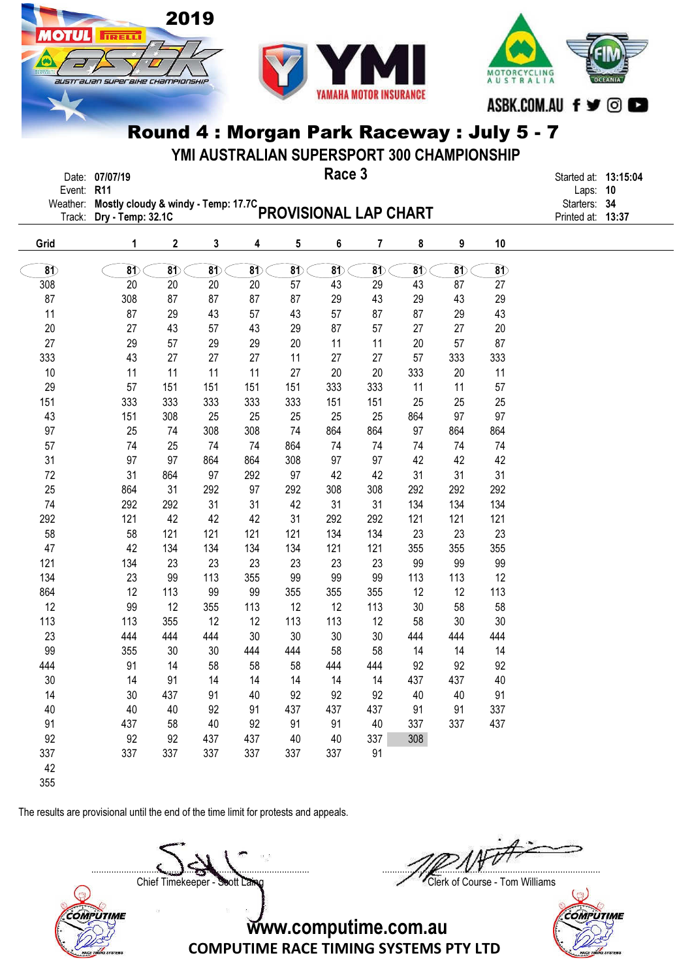



YMI AUSTRALIAN SUPERSPORT 300 CHAMPIONSHIP

|              | Date: 07/07/19                                                        |  |  |  |   | Race 3 |  |  |              | Started at: 13:15:04 |  |
|--------------|-----------------------------------------------------------------------|--|--|--|---|--------|--|--|--------------|----------------------|--|
| Event: $R11$ |                                                                       |  |  |  |   |        |  |  |              | Laps: $10$           |  |
|              | Weather: Mostly cloudy & windy - Temp: 17.7C<br>PROVISIONAL LAP CHART |  |  |  |   |        |  |  | Starters: 34 |                      |  |
|              |                                                                       |  |  |  |   |        |  |  |              | Printed at: 13:37    |  |
| Grid         |                                                                       |  |  |  | 5 | -6     |  |  | 10           |                      |  |
|              |                                                                       |  |  |  |   |        |  |  |              |                      |  |

| $\delta$ | $\delta$ | $\mathbf{8}$ | 8D  | $\mathbf{8}$ | $\mathbf{8}$ | $\delta$ | $\delta$ | $\mathbf{8}$ | $\delta$ | $\delta$ |
|----------|----------|--------------|-----|--------------|--------------|----------|----------|--------------|----------|----------|
| 308      | 20       | 20           | 20  | 20           | 57           | 43       | 29       | 43           | 87       | 27       |
| 87       | 308      | 87           | 87  | 87           | 87           | 29       | 43       | 29           | 43       | 29       |
| 11       | 87       | 29           | 43  | 57           | 43           | 57       | 87       | 87           | 29       | 43       |
| 20       | 27       | 43           | 57  | 43           | 29           | 87       | 57       | 27           | 27       | 20       |
| 27       | 29       | 57           | 29  | 29           | 20           | 11       | 11       | 20           | 57       | 87       |
| 333      | 43       | 27           | 27  | 27           | 11           | 27       | 27       | 57           | 333      | 333      |
| 10       | 11       | 11           | 11  | 11           | 27           | 20       | 20       | 333          | 20       | 11       |
| 29       | 57       | 151          | 151 | 151          | 151          | 333      | 333      | 11           | 11       | 57       |
| 151      | 333      | 333          | 333 | 333          | 333          | 151      | 151      | 25           | 25       | 25       |
| 43       | 151      | 308          | 25  | 25           | 25           | 25       | 25       | 864          | 97       | 97       |
| 97       | 25       | 74           | 308 | 308          | 74           | 864      | 864      | 97           | 864      | 864      |
| 57       | 74       | 25           | 74  | 74           | 864          | 74       | 74       | 74           | 74       | 74       |
| 31       | 97       | 97           | 864 | 864          | 308          | 97       | 97       | 42           | 42       | 42       |
| 72       | 31       | 864          | 97  | 292          | 97           | 42       | 42       | 31           | 31       | 31       |
| 25       | 864      | 31           | 292 | 97           | 292          | 308      | 308      | 292          | 292      | 292      |
| 74       | 292      | 292          | 31  | 31           | 42           | 31       | 31       | 134          | 134      | 134      |
| 292      | 121      | 42           | 42  | 42           | 31           | 292      | 292      | 121          | 121      | 121      |
| 58       | 58       | 121          | 121 | 121          | 121          | 134      | 134      | 23           | 23       | 23       |
| 47       | 42       | 134          | 134 | 134          | 134          | 121      | 121      | 355          | 355      | 355      |
| 121      | 134      | 23           | 23  | 23           | 23           | 23       | 23       | 99           | 99       | 99       |
| 134      | 23       | 99           | 113 | 355          | 99           | 99       | 99       | 113          | 113      | 12       |
| 864      | 12       | 113          | 99  | 99           | 355          | 355      | 355      | 12           | 12       | 113      |
| 12       | 99       | 12           | 355 | 113          | 12           | 12       | 113      | 30           | 58       | 58       |
| 113      | 113      | 355          | 12  | 12           | 113          | 113      | 12       | 58           | 30       | 30       |
| 23       | 444      | 444          | 444 | 30           | 30           | 30       | 30       | 444          | 444      | 444      |
| 99       | 355      | 30           | 30  | 444          | 444          | 58       | 58       | 14           | 14       | 14       |
| 444      | 91       | 14           | 58  | 58           | 58           | 444      | 444      | 92           | 92       | 92       |
| 30       | 14       | 91           | 14  | 14           | 14           | 14       | 14       | 437          | 437      | 40       |
| 14       | 30       | 437          | 91  | 40           | 92           | 92       | 92       | 40           | 40       | 91       |
| 40       | 40       | 40           | 92  | 91           | 437          | 437      | 437      | 91           | 91       | 337      |
| 91       | 437      | 58           | 40  | 92           | 91           | 91       | 40       | 337          | 337      | 437      |
| 92       | 92       | 92           | 437 | 437          | 40           | 40       | 337      | 308          |          |          |
| 337      | 337      | 337          | 337 | 337          | 337          | 337      | 91       |              |          |          |
| 42       |          |              |     |              |              |          |          |              |          |          |

355

COMPUTIME

The results are provisional until the end of the time limit for protests and appeals.

**TRELL** 

Chief Timekeeper - Soott Laing Chief Timekeeper - Soott Laing

 $\Box$ 

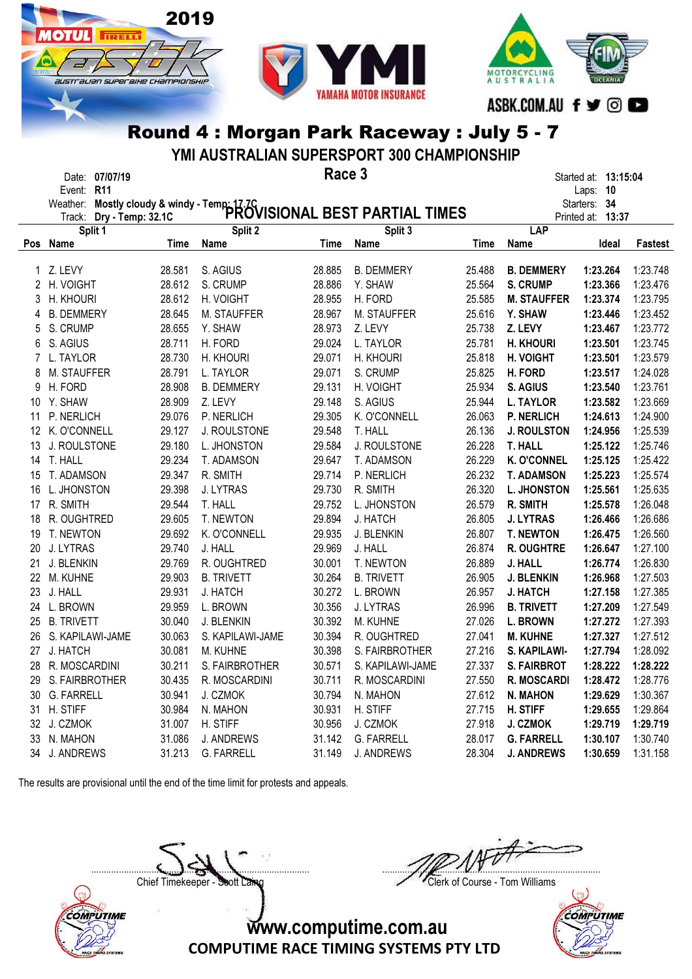



YMI AUSTRALIAN SUPERSPORT 300 CHAMPIONSHIP

|             | Date: 07/07/19    |                   |                                                                                         | Race 3 |                   |        |                    | Started at: 13:15:04 |          |
|-------------|-------------------|-------------------|-----------------------------------------------------------------------------------------|--------|-------------------|--------|--------------------|----------------------|----------|
|             | Event: R11        |                   |                                                                                         |        |                   |        |                    | Laps:<br>10          |          |
|             | Weather:          |                   | Mostly cloudy & windy - Temp: 17.7C<br>Drv - Temp: 32.1C PROVISIONAL BEST PARTIAL TIMES |        |                   |        |                    | Starters:<br>- 34    |          |
|             | Track:            | Dry - Temp: 32.1C |                                                                                         |        |                   |        |                    | Printed at: 13:37    |          |
|             | Split 1           |                   | Split 2                                                                                 |        | Split 3           |        | LAP                |                      |          |
|             | Pos Name          | Time              | Name                                                                                    | Time   | <b>Name</b>       | Time   | Name               | Ideal                | Fastest  |
| 1           | Z. LEVY           | 28.581            | S. AGIUS                                                                                | 28.885 | <b>B. DEMMERY</b> | 25.488 | <b>B. DEMMERY</b>  | 1:23.264             | 1:23.748 |
|             | 2 H. VOIGHT       | 28.612            | S. CRUMP                                                                                | 28.886 | Y. SHAW           | 25.564 | <b>S. CRUMP</b>    | 1:23.366             | 1:23.476 |
| 3           | H. KHOURI         | 28.612            | H. VOIGHT                                                                               | 28.955 | H. FORD           | 25.585 | <b>M. STAUFFER</b> | 1:23.374             | 1:23.795 |
| 4           | <b>B. DEMMERY</b> | 28.645            | M. STAUFFER                                                                             | 28.967 | M. STAUFFER       | 25.616 | Y. SHAW            | 1:23.446             | 1:23.452 |
| 5           | S. CRUMP          | 28.655            | Y. SHAW                                                                                 | 28.973 | Z. LEVY           | 25.738 | Z. LEVY            | 1:23.467             | 1:23.772 |
| 6           | S. AGIUS          | 28.711            | H. FORD                                                                                 | 29.024 | L. TAYLOR         | 25.781 | <b>H. KHOURI</b>   | 1:23.501             | 1:23.745 |
| $7^{\circ}$ | L. TAYLOR         | 28.730            | H. KHOURI                                                                               | 29.071 | H. KHOURI         | 25.818 | <b>H. VOIGHT</b>   | 1:23.501             | 1:23.579 |
| 8           | M. STAUFFER       | 28.791            | L. TAYLOR                                                                               | 29.071 | S. CRUMP          | 25.825 | H. FORD            | 1:23.517             | 1:24.028 |
| 9           | H. FORD           | 28.908            | <b>B. DEMMERY</b>                                                                       | 29.131 | H. VOIGHT         | 25.934 | S. AGIUS           | 1:23.540             | 1:23.761 |
|             | 10 Y. SHAW        | 28.909            | Z. LEVY                                                                                 | 29.148 | S. AGIUS          | 25.944 | <b>L. TAYLOR</b>   | 1:23.582             | 1:23.669 |
| 11          | P. NERLICH        | 29.076            | P. NERLICH                                                                              | 29.305 | K. O'CONNELL      | 26.063 | <b>P. NERLICH</b>  | 1:24.613             | 1:24.900 |
| 12          | K. O'CONNELL      | 29.127            | J. ROULSTONE                                                                            | 29.548 | T. HALL           | 26.136 | <b>J. ROULSTON</b> | 1:24.956             | 1:25.539 |
| 13          | J. ROULSTONE      | 29.180            | L. JHONSTON                                                                             | 29.584 | J. ROULSTONE      | 26.228 | <b>T. HALL</b>     | 1:25.122             | 1:25.746 |
| 14          | T. HALL           | 29.234            | T. ADAMSON                                                                              | 29.647 | T. ADAMSON        | 26.229 | <b>K. O'CONNEL</b> | 1:25.125             | 1:25.422 |
| 15          | T. ADAMSON        | 29.347            | R. SMITH                                                                                | 29.714 | P. NERLICH        | 26.232 | <b>T. ADAMSON</b>  | 1:25.223             | 1:25.574 |
| 16          | L. JHONSTON       | 29.398            | J. LYTRAS                                                                               | 29.730 | R. SMITH          | 26.320 | <b>L. JHONSTON</b> | 1:25.561             | 1:25.635 |
|             | 17 R. SMITH       | 29.544            | T. HALL                                                                                 | 29.752 | L. JHONSTON       | 26.579 | R. SMITH           | 1:25.578             | 1:26.048 |
| 18          | R. OUGHTRED       | 29.605            | T. NEWTON                                                                               | 29.894 | J. HATCH          | 26.805 | <b>J. LYTRAS</b>   | 1:26.466             | 1:26.686 |
| 19          | T. NEWTON         | 29.692            | K. O'CONNELL                                                                            | 29.935 | J. BLENKIN        | 26.807 | <b>T. NEWTON</b>   | 1:26.475             | 1:26.560 |
| 20          | J. LYTRAS         | 29.740            | J. HALL                                                                                 | 29.969 | J. HALL           | 26.874 | R. OUGHTRE         | 1:26.647             | 1:27.100 |
| 21          | J. BLENKIN        | 29.769            | R. OUGHTRED                                                                             | 30.001 | T. NEWTON         | 26.889 | J. HALL            | 1:26.774             | 1:26.830 |
|             | 22 M. KUHNE       | 29.903            | <b>B. TRIVETT</b>                                                                       | 30.264 | <b>B. TRIVETT</b> | 26.905 | <b>J. BLENKIN</b>  | 1:26.968             | 1:27.503 |
| 23          | J. HALL           | 29.931            | J. HATCH                                                                                | 30.272 | L. BROWN          | 26.957 | <b>J. HATCH</b>    | 1:27.158             | 1:27.385 |
| 24          | L. BROWN          | 29.959            | L. BROWN                                                                                | 30.356 | J. LYTRAS         | 26.996 | <b>B. TRIVETT</b>  | 1:27.209             | 1:27.549 |
| 25          | <b>B. TRIVETT</b> | 30.040            | <b>J. BLENKIN</b>                                                                       | 30.392 | M. KUHNE          | 27.026 | <b>L. BROWN</b>    | 1:27.272             | 1:27.393 |
| 26          | S. KAPILAWI-JAME  | 30.063            | S. KAPILAWI-JAME                                                                        | 30.394 | R. OUGHTRED       | 27.041 | <b>M. KUHNE</b>    | 1:27.327             | 1:27.512 |
| 27          | J. HATCH          | 30.081            | M. KUHNE                                                                                | 30.398 | S. FAIRBROTHER    | 27.216 | S. KAPILAWI-       | 1:27.794             | 1:28.092 |
| 28          | R. MOSCARDINI     | 30.211            | S. FAIRBROTHER                                                                          | 30.571 | S. KAPILAWI-JAME  | 27.337 | <b>S. FAIRBROT</b> | 1:28.222             | 1:28.222 |
| 29          | S. FAIRBROTHER    | 30.435            | R. MOSCARDINI                                                                           | 30.711 | R. MOSCARDINI     | 27.550 | <b>R. MOSCARDI</b> | 1:28.472             | 1:28.776 |
| 30          | <b>G. FARRELL</b> | 30.941            | J. CZMOK                                                                                | 30.794 | N. MAHON          | 27.612 | <b>N. MAHON</b>    | 1:29.629             | 1:30.367 |
| 31          | H. STIFF          | 30.984            | N. MAHON                                                                                | 30.931 | H. STIFF          | 27.715 | H. STIFF           | 1:29.655             | 1:29.864 |
| 32          | J. CZMOK          | 31.007            | H. STIFF                                                                                | 30.956 | J. CZMOK          | 27.918 | J. CZMOK           | 1:29.719             | 1:29.719 |
| 33          | N. MAHON          | 31.086            | <b>J. ANDREWS</b>                                                                       | 31.142 | <b>G. FARRELL</b> | 28.017 | <b>G. FARRELL</b>  | 1:30.107             | 1:30.740 |
| 34          | J. ANDREWS        | 31.213            | <b>G. FARRELL</b>                                                                       | 31.149 | J. ANDREWS        | 28.304 | <b>J. ANDREWS</b>  | 1:30.659             | 1:31.158 |

The results are provisional until the end of the time limit for protests and appeals.

2019

**TRELL** 

australian superaixe championskir

 $\Box$ Chief Timekeeper - Soott Laing Chief Timekeeper - Soott Laing

COMPUTIME

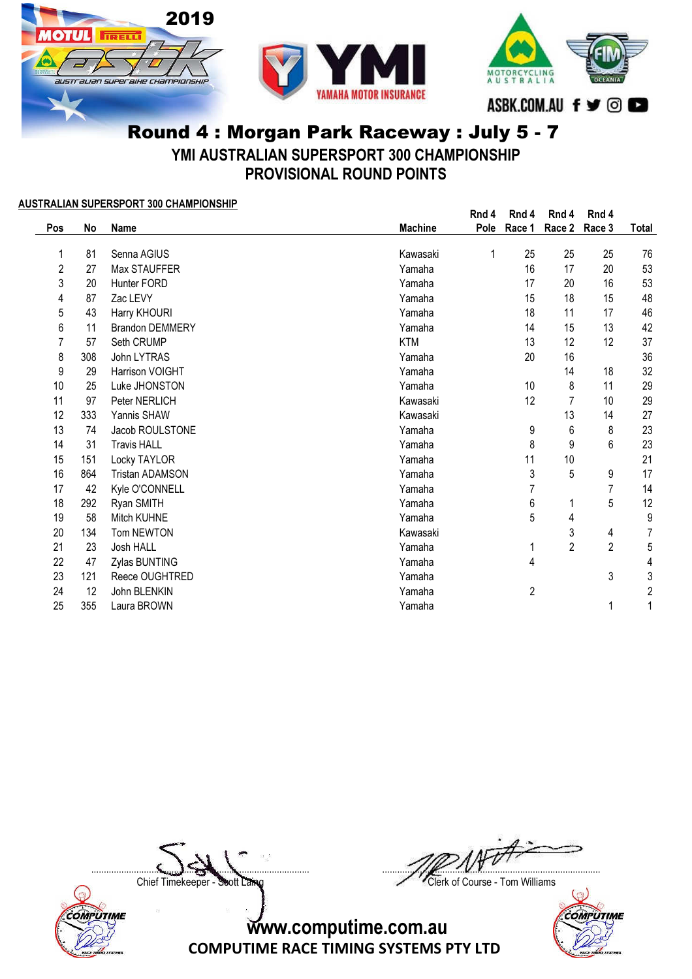





YMI AUSTRALIAN SUPERSPORT 300 CHAMPIONSHIP

PROVISIONAL ROUND POINTS

### AUSTRALIAN SUPERSPORT 300 CHAMPIONSHIP

|     |     | $\frac{1}{2}$ . The term of the second contract $\frac{1}{2}$ . The second contract $\frac{1}{2}$ |                | Rnd 4 | Rnd 4  | Rnd 4          | Rnd 4          |                |
|-----|-----|---------------------------------------------------------------------------------------------------|----------------|-------|--------|----------------|----------------|----------------|
| Pos | No  | Name                                                                                              | <b>Machine</b> | Pole  | Race 1 | Race 2         | Race 3         | Total          |
| 1   | 81  | Senna AGIUS                                                                                       | Kawasaki       | 1     | 25     | 25             | 25             | 76             |
| 2   | 27  | Max STAUFFER                                                                                      | Yamaha         |       | 16     | 17             | 20             | 53             |
| 3   | 20  | Hunter FORD                                                                                       | Yamaha         |       | 17     | 20             | 16             | 53             |
| 4   | 87  | Zac LEVY                                                                                          | Yamaha         |       | 15     | 18             | 15             | 48             |
| 5   | 43  | Harry KHOURI                                                                                      | Yamaha         |       | 18     | 11             | 17             | 46             |
| 6   | 11  | <b>Brandon DEMMERY</b>                                                                            | Yamaha         |       | 14     | 15             | 13             | 42             |
|     | 57  | Seth CRUMP                                                                                        | <b>KTM</b>     |       | 13     | 12             | 12             | 37             |
| 8   | 308 | John LYTRAS                                                                                       | Yamaha         |       | 20     | 16             |                | 36             |
| 9   | 29  | Harrison VOIGHT                                                                                   | Yamaha         |       |        | 14             | 18             | 32             |
| 10  | 25  | Luke JHONSTON                                                                                     | Yamaha         |       | 10     | 8              | 11             | 29             |
| 11  | 97  | Peter NERLICH                                                                                     | Kawasaki       |       | 12     | 7              | 10             | 29             |
| 12  | 333 | Yannis SHAW                                                                                       | Kawasaki       |       |        | 13             | 14             | 27             |
| 13  | 74  | Jacob ROULSTONE                                                                                   | Yamaha         |       | 9      | 6              | 8              | 23             |
| 14  | 31  | <b>Travis HALL</b>                                                                                | Yamaha         |       | 8      | 9              | 6              | 23             |
| 15  | 151 | Locky TAYLOR                                                                                      | Yamaha         |       | 11     | 10             |                | 21             |
| 16  | 864 | <b>Tristan ADAMSON</b>                                                                            | Yamaha         |       | 3      | 5              | 9              | 17             |
| 17  | 42  | Kyle O'CONNELL                                                                                    | Yamaha         |       | 7      |                | 7              | 14             |
| 18  | 292 | Ryan SMITH                                                                                        | Yamaha         |       | 6      |                | 5              | 12             |
| 19  | 58  | Mitch KUHNE                                                                                       | Yamaha         |       | 5      | 4              |                | 9              |
| 20  | 134 | Tom NEWTON                                                                                        | Kawasaki       |       |        | 3              | 4              | $\overline{7}$ |
| 21  | 23  | Josh HALL                                                                                         | Yamaha         |       |        | $\overline{2}$ | $\overline{2}$ | 5              |
| 22  | 47  | Zylas BUNTING                                                                                     | Yamaha         |       | 4      |                |                | 4              |
| 23  | 121 | Reece OUGHTRED                                                                                    | Yamaha         |       |        |                | 3              | 3              |
| 24  | 12  | John BLENKIN                                                                                      | Yamaha         |       | 2      |                |                | 2              |
| 25  | 355 | Laura BROWN                                                                                       | Yamaha         |       |        |                | 1              |                |

COMPUTIME

 $\Box$ 

Chief Timekeeper - Soott Laing Chief Timekeeper - Soott Laing

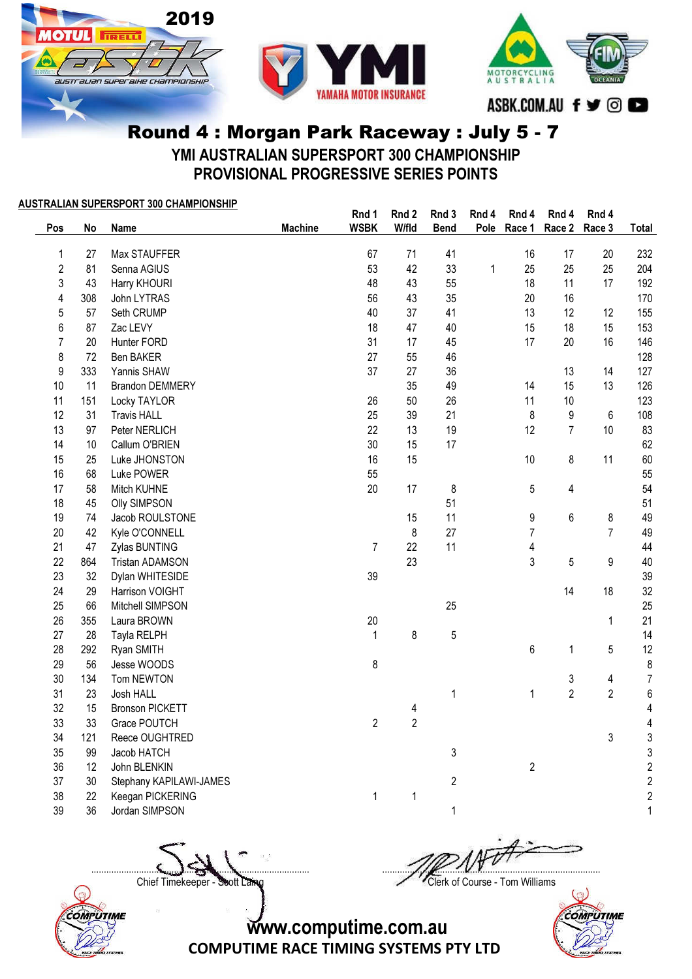





YMI AUSTRALIAN SUPERSPORT 300 CHAMPIONSHIP PROVISIONAL PROGRESSIVE SERIES POINTS

|                  |      | <u>AUSTRALIAN SUPERSPORT 300 CHAMPIONSHIP</u> |                | Rnd 1          | Rnd 2          | Rnd 3          | Rnd 4 | Rnd 4          | Rnd 4            | Rnd 4          |                         |
|------------------|------|-----------------------------------------------|----------------|----------------|----------------|----------------|-------|----------------|------------------|----------------|-------------------------|
| Pos              | No   | Name                                          | <b>Machine</b> | <b>WSBK</b>    | W/fld          | <b>Bend</b>    | Pole  | Race 1         | Race 2           | Race 3         | Total                   |
| 1                | 27   | Max STAUFFER                                  |                | 67             | 71             | 41             |       | 16             | 17               | 20             | 232                     |
| $\sqrt{2}$       | 81   | Senna AGIUS                                   |                | 53             | 42             | 33             | 1     | 25             | 25               | 25             | 204                     |
| 3                | 43   | Harry KHOURI                                  |                | 48             | 43             | 55             |       | 18             | 11               | 17             | 192                     |
| 4                | 308  | John LYTRAS                                   |                | 56             | 43             | 35             |       | 20             | 16               |                | 170                     |
| 5                | 57   | Seth CRUMP                                    |                | 40             | 37             | 41             |       | 13             | 12               | 12             | 155                     |
| 6                | 87   | Zac LEVY                                      |                | 18             | 47             | 40             |       | 15             | 18               | 15             | 153                     |
| $\overline{7}$   | 20   | Hunter FORD                                   |                | 31             | 17             | 45             |       | 17             | 20               | 16             | 146                     |
| 8                | 72   | Ben BAKER                                     |                | 27             | 55             | 46             |       |                |                  |                | 128                     |
| $\boldsymbol{9}$ | 333  | Yannis SHAW                                   |                | 37             | 27             | 36             |       |                | 13               | 14             | 127                     |
| 10               | 11   | <b>Brandon DEMMERY</b>                        |                |                | 35             | 49             |       | 14             | 15               | 13             | 126                     |
| 11               | 151  | <b>Locky TAYLOR</b>                           |                | 26             | 50             | 26             |       | 11             | 10               |                | 123                     |
| 12               | 31   | <b>Travis HALL</b>                            |                | 25             | 39             | 21             |       | 8              | $\boldsymbol{9}$ | $\,6$          | 108                     |
| 13               | 97   | Peter NERLICH                                 |                | 22             | 13             | 19             |       | 12             | $\overline{7}$   | 10             | 83                      |
| 14               | $10$ | Callum O'BRIEN                                |                | 30             | 15             | 17             |       |                |                  |                | 62                      |
| 15               | 25   | Luke JHONSTON                                 |                | 16             | 15             |                |       | 10             | 8                | 11             | 60                      |
| 16               | 68   | Luke POWER                                    |                | 55             |                |                |       |                |                  |                | 55                      |
| 17               | 58   | Mitch KUHNE                                   |                | 20             | 17             | 8              |       | 5              | 4                |                | 54                      |
| 18               | 45   | <b>Olly SIMPSON</b>                           |                |                |                | 51             |       |                |                  |                | 51                      |
| 19               | 74   | Jacob ROULSTONE                               |                |                | 15             | 11             |       | 9              | 6                | 8              | 49                      |
| 20               | 42   | Kyle O'CONNELL                                |                |                | 8              | 27             |       | $\overline{7}$ |                  | $\overline{7}$ | 49                      |
| 21               | 47   | Zylas BUNTING                                 |                | $\overline{7}$ | 22             | 11             |       | 4              |                  |                | 44                      |
| 22               | 864  | <b>Tristan ADAMSON</b>                        |                |                | 23             |                |       | 3              | $\overline{5}$   | 9              | 40                      |
| 23               | 32   | Dylan WHITESIDE                               |                | 39             |                |                |       |                |                  |                | 39                      |
| 24               | 29   | Harrison VOIGHT                               |                |                |                |                |       |                | 14               | 18             | 32                      |
| 25               | 66   | Mitchell SIMPSON                              |                |                |                | 25             |       |                |                  |                | 25                      |
| 26               | 355  | Laura BROWN                                   |                | 20             |                |                |       |                |                  | 1              | 21                      |
| 27               | 28   | Tayla RELPH                                   |                | $\mathbf{1}$   | $\bf 8$        | 5              |       |                |                  |                | 14                      |
| 28               | 292  | Ryan SMITH                                    |                |                |                |                |       | 6              | 1                | $\sqrt{5}$     | 12                      |
| 29               | 56   | Jesse WOODS                                   |                | 8              |                |                |       |                |                  |                | 8                       |
| 30               | 134  | Tom NEWTON                                    |                |                |                |                |       |                | 3                | 4              | $\overline{7}$          |
| 31               | 23   | Josh HALL                                     |                |                |                | 1              |       | $\mathbf{1}$   | $\overline{2}$   | $\overline{2}$ | $\,$ 6 $\,$             |
| 32               | 15   | <b>Bronson PICKETT</b>                        |                |                | $\overline{4}$ |                |       |                |                  |                | $\overline{\mathbf{4}}$ |
| 33               | 33   | Grace POUTCH                                  |                | $\overline{2}$ | $\overline{2}$ |                |       |                |                  |                | $\overline{\mathbf{4}}$ |
| 34               | 121  | Reece OUGHTRED                                |                |                |                |                |       |                |                  | 3              | 3                       |
| 35               | 99   | Jacob HATCH                                   |                |                |                | 3              |       |                |                  |                | 3                       |
| 36               | 12   | John BLENKIN                                  |                |                |                |                |       | $\overline{2}$ |                  |                | $\overline{c}$          |
| 37               | 30   | Stephany KAPILAWI-JAMES                       |                |                |                | $\overline{2}$ |       |                |                  |                | $\overline{c}$          |
| 38               | 22   | Keegan PICKERING                              |                | $\mathbf{1}$   | 1              |                |       |                |                  |                | $\overline{2}$          |

39 36 Jordan SIMPSON 1 1

COMPUTIME

Chief Timekeeper - Soott Laing Chief Timekeeper - Soott Laing

 $\Box$